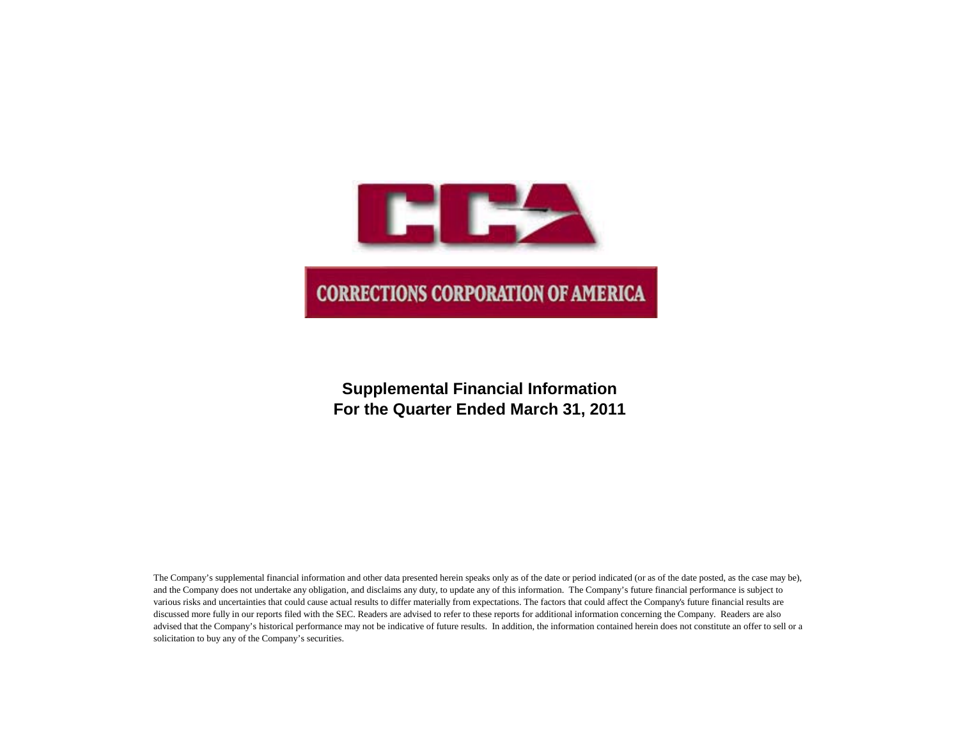

# **Supplemental Financial Information For the Quarter Ended March 31, 2011**

The Company's supplemental financial information and other data presented herein speaks only as of the date or period indicated (or as of the date posted, as the case may be), and the Company does not undertake any obligation, and disclaims any duty, to update any of this information. The Company's future financial performance is subject to various risks and uncertainties that could cause actual results to differ materially from expectations. The factors that could affect the Company's future financial results are discussed more fully in our reports filed with the SEC. Readers are advised to refer to these reports for additional information concerning the Company. Readers are also advised that the Company's historical performance may not be indicative of future results. In addition, the information contained herein does not constitute an offer to sell or a solicitation to buy any of the Company's securities.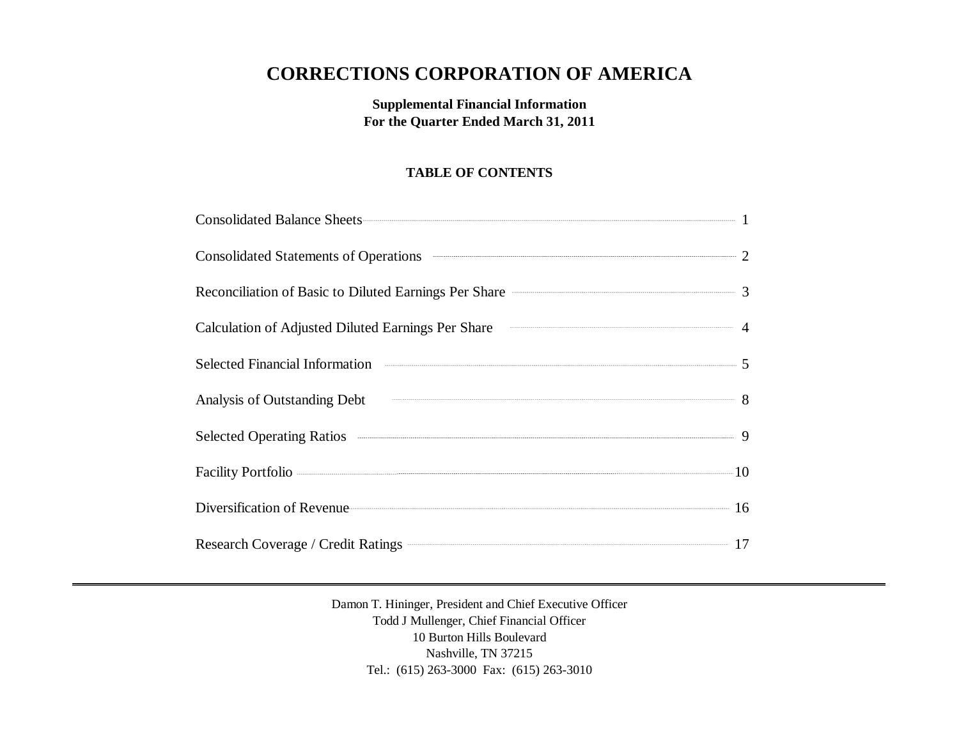# **CORRECTIONS CORPORATION OF AMERICA**

**Supplemental Financial Information For the Quarter Ended March 31, 2011**

# **TABLE OF CONTENTS**

| Consolidated Balance Sheets 1                                                                                                                                                                                                        |  |
|--------------------------------------------------------------------------------------------------------------------------------------------------------------------------------------------------------------------------------------|--|
| Consolidated Statements of Operations <b>Consolidated Statements</b> of Operations 2                                                                                                                                                 |  |
| Reconciliation of Basic to Diluted Earnings Per Share <b>Constanting Strate</b> 3                                                                                                                                                    |  |
| Calculation of Adjusted Diluted Earnings Per Share <b>Calculation</b> 4                                                                                                                                                              |  |
| Selected Financial Information <b>Constanting Constanting Constanting Constanting Constanting Constanting Constanting Constanting Constanting Constanting Constanting Constanting Constanting Constanting Constanting Constantin</b> |  |
| Analysis of Outstanding Debt 8                                                                                                                                                                                                       |  |
| Selected Operating Ratios 300 million of the Selected Operating Ratios 300 million of the Selected Operating Ratios                                                                                                                  |  |
|                                                                                                                                                                                                                                      |  |
| Diversification of Revenue 16                                                                                                                                                                                                        |  |
| Research Coverage / Credit Ratings 27                                                                                                                                                                                                |  |

Damon T. Hininger, President and Chief Executive Officer Todd J Mullenger, Chief Financial Officer 10 Burton Hills Boulevard Nashville, TN 37215 Tel.: (615) 263-3000 Fax: (615) 263-3010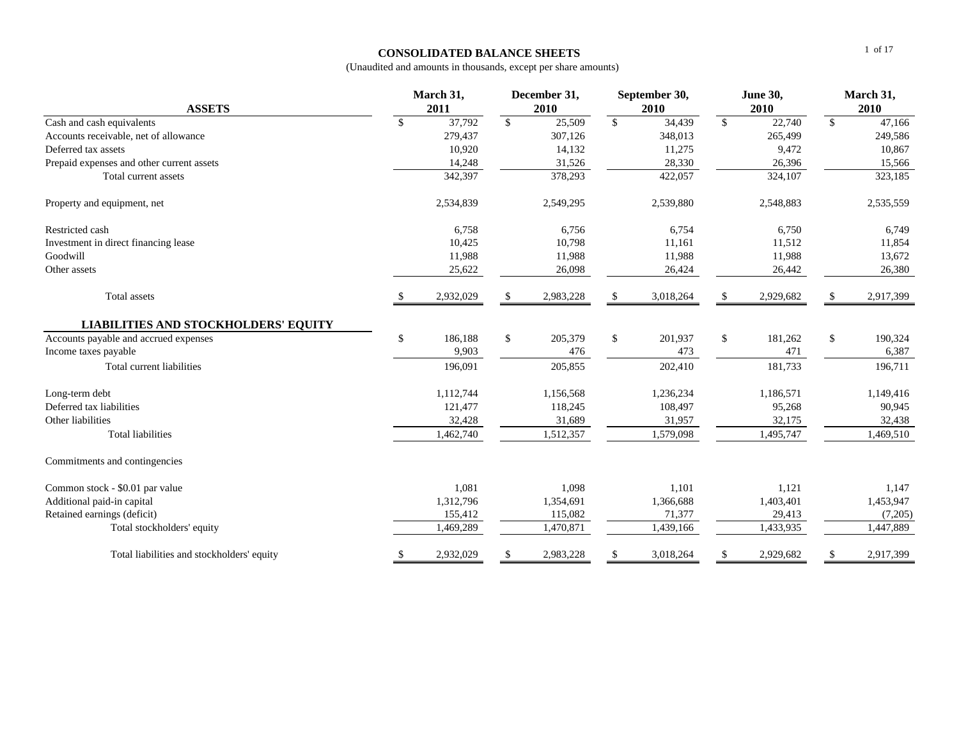## **CONSOLIDATED BALANCE SHEETS**

| <b>ASSETS</b>                               | March 31,<br>2011 |           |               | December 31,<br>2010 |               | September 30,<br>2010 |               | <b>June 30,</b><br>2010 |               | March 31,<br>2010   |  |  |
|---------------------------------------------|-------------------|-----------|---------------|----------------------|---------------|-----------------------|---------------|-------------------------|---------------|---------------------|--|--|
| Cash and cash equivalents                   | $\mathbf{\$}$     | 37,792    | <sup>\$</sup> | 25,509               | $\mathcal{S}$ | 34,439                | $\mathcal{S}$ | 22,740                  | S.            | $\overline{47,166}$ |  |  |
| Accounts receivable, net of allowance       |                   | 279,437   |               | 307,126              |               | 348,013               |               | 265,499                 |               | 249,586             |  |  |
| Deferred tax assets                         |                   | 10,920    |               | 14,132               |               | 11,275                |               | 9,472                   |               | 10,867              |  |  |
| Prepaid expenses and other current assets   |                   | 14,248    |               | 31,526               |               | 28,330                |               | 26,396                  |               | 15,566              |  |  |
| Total current assets                        |                   | 342,397   |               | 378,293              |               | 422,057               |               | 324,107                 |               | 323,185             |  |  |
| Property and equipment, net                 |                   | 2,534,839 |               | 2,549,295            |               | 2,539,880             |               | 2,548,883               |               | 2,535,559           |  |  |
| Restricted cash                             |                   | 6,758     |               | 6,756                |               | 6,754                 |               | 6,750                   |               | 6,749               |  |  |
| Investment in direct financing lease        |                   | 10,425    |               | 10,798               |               | 11,161                |               | 11,512                  |               | 11,854              |  |  |
| Goodwill                                    |                   | 11,988    |               | 11,988               |               | 11,988                |               | 11,988                  |               | 13,672              |  |  |
| Other assets                                |                   | 25,622    |               | 26,098               |               | 26,424                |               | 26,442                  |               | 26,380              |  |  |
| <b>Total</b> assets                         |                   | 2,932,029 | <sup>\$</sup> | 2,983,228            |               | 3,018,264             | \$            | 2,929,682               | $\mathbf{\$}$ | 2,917,399           |  |  |
| <b>LIABILITIES AND STOCKHOLDERS' EQUITY</b> |                   |           |               |                      |               |                       |               |                         |               |                     |  |  |
| Accounts payable and accrued expenses       | \$                | 186.188   | \$            | 205,379              | $\mathbb{S}$  | 201,937               | \$            | 181,262                 | \$            | 190,324             |  |  |
| Income taxes payable                        |                   | 9,903     |               | 476                  |               | 473                   |               | 471                     |               | 6,387               |  |  |
| Total current liabilities                   |                   | 196,091   |               | 205,855              |               | 202,410               |               | 181,733                 |               | 196,711             |  |  |
| Long-term debt                              |                   | 1,112,744 |               | 1,156,568            |               | 1,236,234             |               | 1,186,571               |               | 1,149,416           |  |  |
| Deferred tax liabilities                    |                   | 121,477   |               | 118,245              |               | 108,497               |               | 95,268                  |               | 90,945              |  |  |
| Other liabilities                           |                   | 32,428    |               | 31,689               |               | 31,957                |               | 32,175                  |               | 32,438              |  |  |
| <b>Total liabilities</b>                    |                   | 1,462,740 |               | 1,512,357            |               | 1,579,098             |               | 1,495,747               |               | 1,469,510           |  |  |
| Commitments and contingencies               |                   |           |               |                      |               |                       |               |                         |               |                     |  |  |
| Common stock - \$0.01 par value             |                   | 1,081     |               | 1,098                |               | 1,101                 |               | 1,121                   |               | 1,147               |  |  |
| Additional paid-in capital                  |                   | 1,312,796 |               | 1,354,691            |               | 1,366,688             |               | 1,403,401               |               | 1,453,947           |  |  |
| Retained earnings (deficit)                 |                   | 155,412   |               | 115,082              |               | 71,377                |               | 29,413                  |               | (7,205)             |  |  |
| Total stockholders' equity                  |                   | 1,469,289 |               | 1,470,871            |               | 1,439,166             |               | 1,433,935               |               | 1,447,889           |  |  |
| Total liabilities and stockholders' equity  | \$                | 2,932,029 | \$            | 2,983,228            | $\mathbf{\$}$ | 3,018,264             | \$            | 2,929,682               | \$            | 2,917,399           |  |  |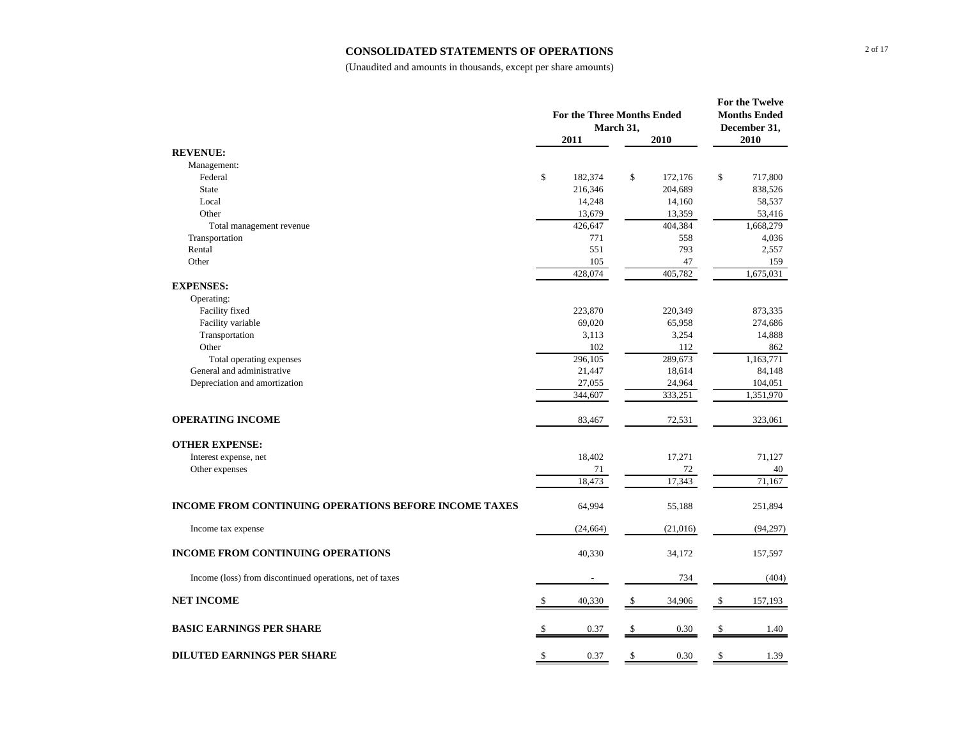#### **CONSOLIDATED STATEMENTS OF OPERATIONS**

|                                                              |               | <b>For the Three Months Ended</b><br>March 31, |               | For the Twelve<br><b>Months Ended</b><br>December 31, |           |  |
|--------------------------------------------------------------|---------------|------------------------------------------------|---------------|-------------------------------------------------------|-----------|--|
|                                                              |               | 2011                                           | 2010          |                                                       | 2010      |  |
| <b>REVENUE:</b>                                              |               |                                                |               |                                                       |           |  |
| Management:                                                  |               |                                                |               |                                                       |           |  |
| Federal                                                      | \$            | 182,374                                        | \$<br>172,176 | \$                                                    | 717,800   |  |
| <b>State</b>                                                 |               | 216,346                                        | 204,689       |                                                       | 838,526   |  |
| Local                                                        |               | 14,248                                         | 14,160        |                                                       | 58,537    |  |
| Other                                                        |               | 13,679                                         | 13,359        |                                                       | 53,416    |  |
| Total management revenue                                     |               | 426,647                                        | 404,384       |                                                       | 1,668,279 |  |
| Transportation                                               |               | 771                                            | 558           |                                                       | 4,036     |  |
| Rental                                                       |               | 551                                            | 793           |                                                       | 2,557     |  |
| Other                                                        |               | 105                                            | 47            |                                                       | 159       |  |
|                                                              |               | 428,074                                        | 405,782       |                                                       | 1,675,031 |  |
| <b>EXPENSES:</b>                                             |               |                                                |               |                                                       |           |  |
| Operating:                                                   |               |                                                |               |                                                       |           |  |
| Facility fixed                                               |               | 223,870                                        | 220,349       |                                                       | 873,335   |  |
| Facility variable                                            |               | 69,020                                         | 65,958        |                                                       | 274,686   |  |
| Transportation                                               |               | 3,113                                          | 3,254         |                                                       | 14,888    |  |
| Other                                                        |               | 102                                            | 112           |                                                       | 862       |  |
| Total operating expenses                                     |               | 296,105                                        | 289,673       |                                                       | 1,163,771 |  |
| General and administrative                                   |               | 21,447                                         | 18,614        |                                                       | 84,148    |  |
| Depreciation and amortization                                |               | 27,055                                         | 24,964        |                                                       | 104,051   |  |
|                                                              |               | 344,607                                        | 333,251       |                                                       | 1,351,970 |  |
| <b>OPERATING INCOME</b>                                      |               | 83,467                                         | 72,531        |                                                       | 323,061   |  |
| <b>OTHER EXPENSE:</b>                                        |               |                                                |               |                                                       |           |  |
| Interest expense, net                                        |               | 18,402                                         | 17,271        |                                                       | 71,127    |  |
| Other expenses                                               |               | 71                                             | 72            |                                                       | 40        |  |
|                                                              |               | 18,473                                         | 17,343        |                                                       | 71,167    |  |
| <b>INCOME FROM CONTINUING OPERATIONS BEFORE INCOME TAXES</b> |               | 64,994                                         | 55,188        |                                                       | 251,894   |  |
| Income tax expense                                           |               | (24, 664)                                      | (21,016)      |                                                       | (94,297)  |  |
| <b>INCOME FROM CONTINUING OPERATIONS</b>                     |               | 40,330                                         | 34,172        |                                                       | 157,597   |  |
| Income (loss) from discontinued operations, net of taxes     |               |                                                | 734           |                                                       | (404)     |  |
| <b>NET INCOME</b>                                            | <sup>\$</sup> | 40,330                                         | \$<br>34,906  | $\mathcal{S}$                                         | 157,193   |  |
| <b>BASIC EARNINGS PER SHARE</b>                              | -S            | 0.37                                           | \$<br>0.30    | $\mathcal{S}$                                         | 1.40      |  |
| <b>DILUTED EARNINGS PER SHARE</b>                            | \$            | 0.37                                           | \$<br>0.30    | \$                                                    | 1.39      |  |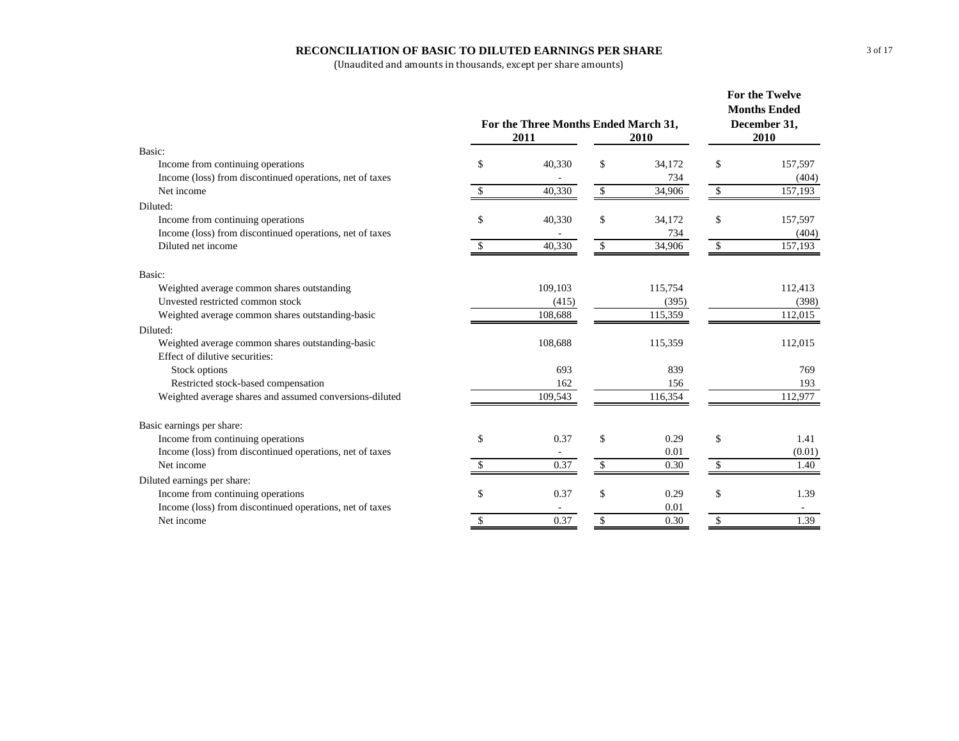## **RECONCILIATION OF BASIC TO DILUTED EARNINGS PER SHARE**

| Basic:<br>Income from continuing operations<br>\$<br>40,330<br>34,172<br>\$<br>157,597<br>\$<br>Income (loss) from discontinued operations, net of taxes<br>734<br>(404)<br>$\mathbf{\$}$<br>Net income<br>40,330<br>34,906<br>157,193<br>\$<br><sup>\$</sup><br>Diluted:<br>\$<br>\$<br>Income from continuing operations<br>40,330<br>\$<br>34,172<br>157,597<br>Income (loss) from discontinued operations, net of taxes<br>734<br>(404)<br>$\mathbb{S}$<br>\$<br>$\mathbb{S}$<br>157,193<br>Diluted net income<br>40,330<br>34,906<br>Basic:<br>109,103<br>112,413<br>Weighted average common shares outstanding<br>115,754<br>Unvested restricted common stock<br>(415)<br>(395)<br>(398)<br>Weighted average common shares outstanding-basic<br>108,688<br>115,359<br>112,015<br>Diluted:<br>Weighted average common shares outstanding-basic<br>108,688<br>112,015<br>115,359<br>Effect of dilutive securities:<br>693<br>839<br>Stock options<br>769<br>Restricted stock-based compensation<br>162<br>193<br>156<br>Weighted average shares and assumed conversions-diluted<br>112,977<br>109,543<br>116,354<br>Basic earnings per share:<br>\$<br>\$<br>\$<br>Income from continuing operations<br>0.37<br>0.29<br>1.41<br>Income (loss) from discontinued operations, net of taxes<br>0.01<br>(0.01)<br>Net income<br>0.37<br>$\mathbb{S}$<br>$\mathbf{s}$<br>0.30<br>1.40<br>Diluted earnings per share:<br>Income from continuing operations<br>\$<br>\$<br>\$<br>0.37<br>0.29<br>1.39<br>Income (loss) from discontinued operations, net of taxes<br>0.01<br>Net income<br>0.37<br>\$<br>\$<br>1.39<br>\$<br>0.30 |  | For the Three Months Ended March 31,<br>2011 | <b>For the Twelve</b><br><b>Months Ended</b><br>December 31,<br>2010 |  |  |
|--------------------------------------------------------------------------------------------------------------------------------------------------------------------------------------------------------------------------------------------------------------------------------------------------------------------------------------------------------------------------------------------------------------------------------------------------------------------------------------------------------------------------------------------------------------------------------------------------------------------------------------------------------------------------------------------------------------------------------------------------------------------------------------------------------------------------------------------------------------------------------------------------------------------------------------------------------------------------------------------------------------------------------------------------------------------------------------------------------------------------------------------------------------------------------------------------------------------------------------------------------------------------------------------------------------------------------------------------------------------------------------------------------------------------------------------------------------------------------------------------------------------------------------------------------------------------------------------------------------------------------|--|----------------------------------------------|----------------------------------------------------------------------|--|--|
|                                                                                                                                                                                                                                                                                                                                                                                                                                                                                                                                                                                                                                                                                                                                                                                                                                                                                                                                                                                                                                                                                                                                                                                                                                                                                                                                                                                                                                                                                                                                                                                                                                |  |                                              |                                                                      |  |  |
|                                                                                                                                                                                                                                                                                                                                                                                                                                                                                                                                                                                                                                                                                                                                                                                                                                                                                                                                                                                                                                                                                                                                                                                                                                                                                                                                                                                                                                                                                                                                                                                                                                |  |                                              |                                                                      |  |  |
|                                                                                                                                                                                                                                                                                                                                                                                                                                                                                                                                                                                                                                                                                                                                                                                                                                                                                                                                                                                                                                                                                                                                                                                                                                                                                                                                                                                                                                                                                                                                                                                                                                |  |                                              |                                                                      |  |  |
|                                                                                                                                                                                                                                                                                                                                                                                                                                                                                                                                                                                                                                                                                                                                                                                                                                                                                                                                                                                                                                                                                                                                                                                                                                                                                                                                                                                                                                                                                                                                                                                                                                |  |                                              |                                                                      |  |  |
|                                                                                                                                                                                                                                                                                                                                                                                                                                                                                                                                                                                                                                                                                                                                                                                                                                                                                                                                                                                                                                                                                                                                                                                                                                                                                                                                                                                                                                                                                                                                                                                                                                |  |                                              |                                                                      |  |  |
|                                                                                                                                                                                                                                                                                                                                                                                                                                                                                                                                                                                                                                                                                                                                                                                                                                                                                                                                                                                                                                                                                                                                                                                                                                                                                                                                                                                                                                                                                                                                                                                                                                |  |                                              |                                                                      |  |  |
|                                                                                                                                                                                                                                                                                                                                                                                                                                                                                                                                                                                                                                                                                                                                                                                                                                                                                                                                                                                                                                                                                                                                                                                                                                                                                                                                                                                                                                                                                                                                                                                                                                |  |                                              |                                                                      |  |  |
|                                                                                                                                                                                                                                                                                                                                                                                                                                                                                                                                                                                                                                                                                                                                                                                                                                                                                                                                                                                                                                                                                                                                                                                                                                                                                                                                                                                                                                                                                                                                                                                                                                |  |                                              |                                                                      |  |  |
|                                                                                                                                                                                                                                                                                                                                                                                                                                                                                                                                                                                                                                                                                                                                                                                                                                                                                                                                                                                                                                                                                                                                                                                                                                                                                                                                                                                                                                                                                                                                                                                                                                |  |                                              |                                                                      |  |  |
|                                                                                                                                                                                                                                                                                                                                                                                                                                                                                                                                                                                                                                                                                                                                                                                                                                                                                                                                                                                                                                                                                                                                                                                                                                                                                                                                                                                                                                                                                                                                                                                                                                |  |                                              |                                                                      |  |  |
|                                                                                                                                                                                                                                                                                                                                                                                                                                                                                                                                                                                                                                                                                                                                                                                                                                                                                                                                                                                                                                                                                                                                                                                                                                                                                                                                                                                                                                                                                                                                                                                                                                |  |                                              |                                                                      |  |  |
|                                                                                                                                                                                                                                                                                                                                                                                                                                                                                                                                                                                                                                                                                                                                                                                                                                                                                                                                                                                                                                                                                                                                                                                                                                                                                                                                                                                                                                                                                                                                                                                                                                |  |                                              |                                                                      |  |  |
|                                                                                                                                                                                                                                                                                                                                                                                                                                                                                                                                                                                                                                                                                                                                                                                                                                                                                                                                                                                                                                                                                                                                                                                                                                                                                                                                                                                                                                                                                                                                                                                                                                |  |                                              |                                                                      |  |  |
|                                                                                                                                                                                                                                                                                                                                                                                                                                                                                                                                                                                                                                                                                                                                                                                                                                                                                                                                                                                                                                                                                                                                                                                                                                                                                                                                                                                                                                                                                                                                                                                                                                |  |                                              |                                                                      |  |  |
|                                                                                                                                                                                                                                                                                                                                                                                                                                                                                                                                                                                                                                                                                                                                                                                                                                                                                                                                                                                                                                                                                                                                                                                                                                                                                                                                                                                                                                                                                                                                                                                                                                |  |                                              |                                                                      |  |  |
|                                                                                                                                                                                                                                                                                                                                                                                                                                                                                                                                                                                                                                                                                                                                                                                                                                                                                                                                                                                                                                                                                                                                                                                                                                                                                                                                                                                                                                                                                                                                                                                                                                |  |                                              |                                                                      |  |  |
|                                                                                                                                                                                                                                                                                                                                                                                                                                                                                                                                                                                                                                                                                                                                                                                                                                                                                                                                                                                                                                                                                                                                                                                                                                                                                                                                                                                                                                                                                                                                                                                                                                |  |                                              |                                                                      |  |  |
|                                                                                                                                                                                                                                                                                                                                                                                                                                                                                                                                                                                                                                                                                                                                                                                                                                                                                                                                                                                                                                                                                                                                                                                                                                                                                                                                                                                                                                                                                                                                                                                                                                |  |                                              |                                                                      |  |  |
|                                                                                                                                                                                                                                                                                                                                                                                                                                                                                                                                                                                                                                                                                                                                                                                                                                                                                                                                                                                                                                                                                                                                                                                                                                                                                                                                                                                                                                                                                                                                                                                                                                |  |                                              |                                                                      |  |  |
|                                                                                                                                                                                                                                                                                                                                                                                                                                                                                                                                                                                                                                                                                                                                                                                                                                                                                                                                                                                                                                                                                                                                                                                                                                                                                                                                                                                                                                                                                                                                                                                                                                |  |                                              |                                                                      |  |  |
|                                                                                                                                                                                                                                                                                                                                                                                                                                                                                                                                                                                                                                                                                                                                                                                                                                                                                                                                                                                                                                                                                                                                                                                                                                                                                                                                                                                                                                                                                                                                                                                                                                |  |                                              |                                                                      |  |  |
|                                                                                                                                                                                                                                                                                                                                                                                                                                                                                                                                                                                                                                                                                                                                                                                                                                                                                                                                                                                                                                                                                                                                                                                                                                                                                                                                                                                                                                                                                                                                                                                                                                |  |                                              |                                                                      |  |  |
|                                                                                                                                                                                                                                                                                                                                                                                                                                                                                                                                                                                                                                                                                                                                                                                                                                                                                                                                                                                                                                                                                                                                                                                                                                                                                                                                                                                                                                                                                                                                                                                                                                |  |                                              |                                                                      |  |  |
|                                                                                                                                                                                                                                                                                                                                                                                                                                                                                                                                                                                                                                                                                                                                                                                                                                                                                                                                                                                                                                                                                                                                                                                                                                                                                                                                                                                                                                                                                                                                                                                                                                |  |                                              |                                                                      |  |  |
|                                                                                                                                                                                                                                                                                                                                                                                                                                                                                                                                                                                                                                                                                                                                                                                                                                                                                                                                                                                                                                                                                                                                                                                                                                                                                                                                                                                                                                                                                                                                                                                                                                |  |                                              |                                                                      |  |  |
|                                                                                                                                                                                                                                                                                                                                                                                                                                                                                                                                                                                                                                                                                                                                                                                                                                                                                                                                                                                                                                                                                                                                                                                                                                                                                                                                                                                                                                                                                                                                                                                                                                |  |                                              |                                                                      |  |  |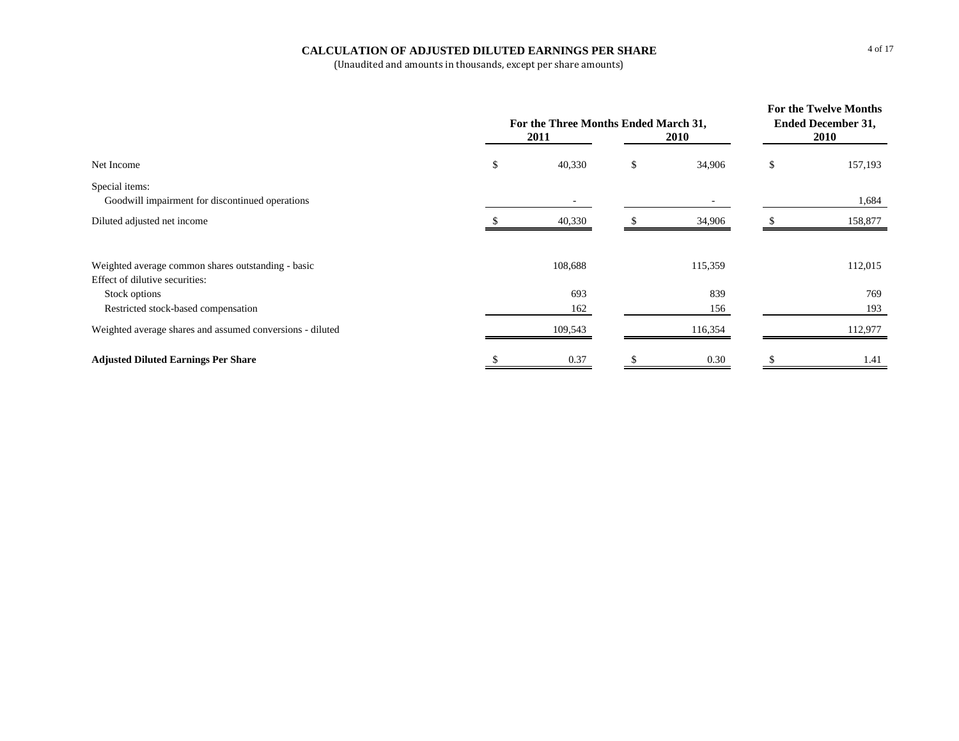## **CALCULATION OF ADJUSTED DILUTED EARNINGS PER SHARE**

|                                                                                      | For the Three Months Ended March 31,<br>2011 | For the Twelve Months<br><b>Ended December 31,</b><br><b>2010</b> |              |    |            |
|--------------------------------------------------------------------------------------|----------------------------------------------|-------------------------------------------------------------------|--------------|----|------------|
| Net Income                                                                           | \$                                           | 40,330                                                            | \$<br>34,906 | \$ | 157,193    |
| Special items:<br>Goodwill impairment for discontinued operations                    |                                              |                                                                   |              |    | 1,684      |
| Diluted adjusted net income                                                          |                                              | 40,330                                                            | 34,906       |    | 158,877    |
| Weighted average common shares outstanding - basic<br>Effect of dilutive securities: |                                              | 108,688                                                           | 115,359      |    | 112,015    |
| Stock options<br>Restricted stock-based compensation                                 |                                              | 693<br>162                                                        | 839<br>156   |    | 769<br>193 |
| Weighted average shares and assumed conversions - diluted                            |                                              | 109,543                                                           | 116,354      |    | 112,977    |
| <b>Adjusted Diluted Earnings Per Share</b>                                           |                                              | 0.37                                                              | 0.30         |    | 1.41       |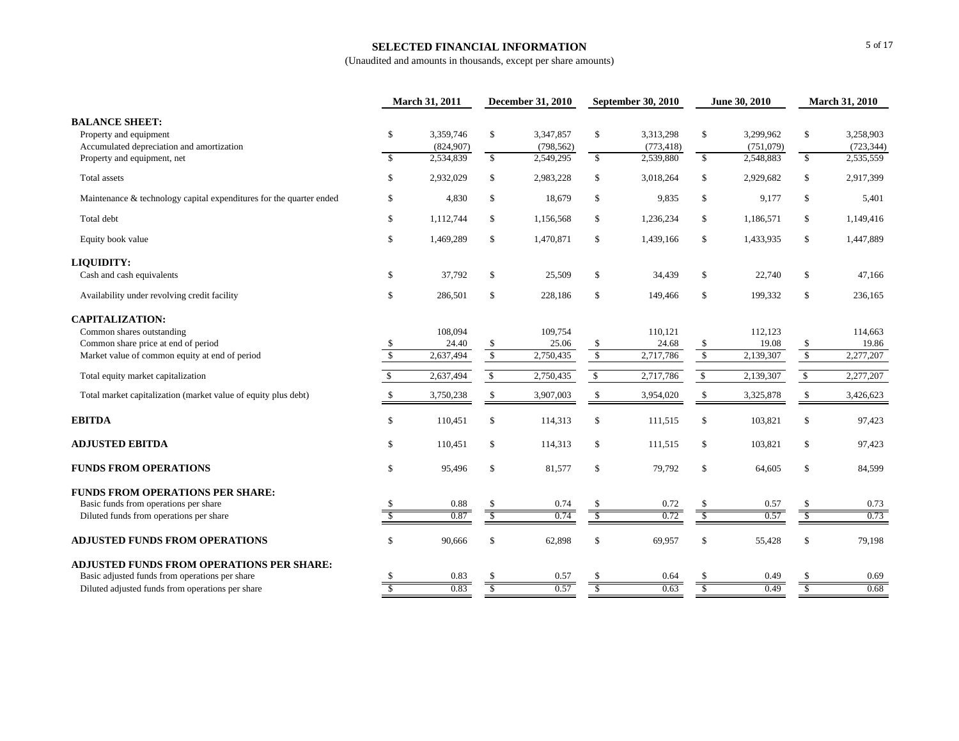## **SELECTED FINANCIAL INFORMATION**

|                                                                                                                             |                              | March 31, 2011                       | <b>December 31, 2010</b>     |                                      | September 30, 2010            |                                      | June 30, 2010                  |                                     | <b>March 31, 2010</b>          |                                      |
|-----------------------------------------------------------------------------------------------------------------------------|------------------------------|--------------------------------------|------------------------------|--------------------------------------|-------------------------------|--------------------------------------|--------------------------------|-------------------------------------|--------------------------------|--------------------------------------|
| <b>BALANCE SHEET:</b><br>Property and equipment<br>Accumulated depreciation and amortization<br>Property and equipment, net | $\mathbb{S}$<br>$\mathbf{s}$ | 3.359.746<br>(824, 907)<br>2,534,839 | $\mathbf{s}$<br>$\mathbb{S}$ | 3.347.857<br>(798, 562)<br>2,549,295 | $\mathbb{S}$<br>$\mathcal{S}$ | 3,313,298<br>(773, 418)<br>2,539,880 | $\mathbb{S}$<br>$\mathbb{S}$   | 3.299.962<br>(751,079)<br>2,548,883 | \$<br>$\overline{\mathcal{S}}$ | 3,258,903<br>(723, 344)<br>2,535,559 |
| Total assets                                                                                                                | \$                           | 2,932,029                            | \$                           | 2,983,228                            | \$                            | 3,018,264                            | \$                             | 2,929,682                           | \$                             | 2,917,399                            |
| Maintenance & technology capital expenditures for the quarter ended                                                         | \$                           | 4,830                                | $\mathbb S$                  | 18,679                               | $\mathsf{\$}$                 | 9,835                                | \$                             | 9,177                               | \$                             | 5,401                                |
| Total debt                                                                                                                  | \$                           | 1,112,744                            | \$                           | 1,156,568                            | $\mathsf{\$}$                 | 1,236,234                            | \$                             | 1,186,571                           | \$                             | 1,149,416                            |
| Equity book value                                                                                                           | \$                           | 1,469,289                            | $\mathbb S$                  | 1,470,871                            | $\mathsf{\$}$                 | 1,439,166                            | \$                             | 1,433,935                           | \$                             | 1,447,889                            |
| <b>LIQUIDITY:</b>                                                                                                           |                              |                                      |                              |                                      |                               |                                      |                                |                                     |                                |                                      |
| Cash and cash equivalents                                                                                                   | \$                           | 37,792                               | \$                           | 25,509                               | \$                            | 34,439                               | \$                             | 22,740                              | \$                             | 47,166                               |
| Availability under revolving credit facility                                                                                | \$                           | 286,501                              | \$                           | 228,186                              | $\mathsf{\$}$                 | 149,466                              | \$                             | 199,332                             | \$                             | 236,165                              |
| <b>CAPITALIZATION:</b>                                                                                                      |                              |                                      |                              |                                      |                               |                                      |                                |                                     |                                |                                      |
| Common shares outstanding                                                                                                   |                              | 108,094                              |                              | 109,754                              |                               | 110,121                              |                                | 112,123                             |                                | 114,663                              |
| Common share price at end of period                                                                                         |                              | 24.40                                | \$                           | 25.06                                | \$                            | 24.68                                | \$                             | 19.08                               | \$                             | 19.86                                |
| Market value of common equity at end of period                                                                              | $\mathbb{S}$                 | 2,637,494                            | $\mathbb{S}$                 | 2,750,435                            | $\sqrt{3}$                    | 2,717,786                            | $\sqrt{\ }$                    | 2,139,307                           | $\sqrt{2}$                     | 2,277,207                            |
| Total equity market capitalization                                                                                          | $\mathbb{S}$                 | 2,637,494                            | $\mathbb{S}$                 | 2,750,435                            | $\mathsf{\$}$                 | 2,717,786                            | $\mathcal{S}$                  | 2,139,307                           | $\mathbb{S}$                   | 2,277,207                            |
| Total market capitalization (market value of equity plus debt)                                                              |                              | 3,750,238                            | <sup>\$</sup>                | 3,907,003                            | $\mathcal{S}$                 | 3,954,020                            | \$                             | 3,325,878                           | \$                             | 3,426,623                            |
| <b>EBITDA</b>                                                                                                               | \$                           | 110,451                              | \$                           | 114,313                              | $\mathbb{S}$                  | 111,515                              | \$                             | 103,821                             | \$                             | 97,423                               |
| <b>ADJUSTED EBITDA</b>                                                                                                      | \$                           | 110,451                              | $\mathcal{S}$                | 114,313                              | $\mathcal{S}$                 | 111,515                              | \$                             | 103,821                             | \$                             | 97,423                               |
| <b>FUNDS FROM OPERATIONS</b>                                                                                                | \$                           | 95,496                               | \$                           | 81,577                               | $\mathcal{S}$                 | 79,792                               | \$                             | 64,605                              | \$                             | 84,599                               |
| <b>FUNDS FROM OPERATIONS PER SHARE:</b>                                                                                     |                              |                                      |                              |                                      |                               |                                      |                                |                                     |                                |                                      |
| Basic funds from operations per share                                                                                       |                              | 0.88                                 | <sup>\$</sup>                | 0.74                                 | $\mathcal{S}$<br>s            | 0.72                                 | \$<br>$\overline{\mathcal{S}}$ | 0.57                                | \$                             | 0.73                                 |
| Diluted funds from operations per share                                                                                     |                              | 0.87                                 |                              | 0.74                                 |                               | 0.72                                 |                                | 0.57                                |                                | 0.73                                 |
| <b>ADJUSTED FUNDS FROM OPERATIONS</b>                                                                                       | $\mathbb{S}$                 | 90,666                               | $\mathbf{s}$                 | 62,898                               | $\mathcal{S}$                 | 69,957                               | \$                             | 55,428                              | \$                             | 79,198                               |
| <b>ADJUSTED FUNDS FROM OPERATIONS PER SHARE:</b>                                                                            |                              |                                      |                              |                                      |                               |                                      |                                |                                     |                                |                                      |
| Basic adjusted funds from operations per share                                                                              |                              | 0.83                                 |                              | 0.57                                 |                               | 0.64                                 |                                | 0.49                                |                                | 0.69                                 |
| Diluted adjusted funds from operations per share                                                                            |                              | 0.83                                 | -S                           | 0.57                                 | $\overline{\mathcal{S}}$      | 0.63                                 | S                              | 0.49                                | $\overline{\mathbb{S}}$        | 0.68                                 |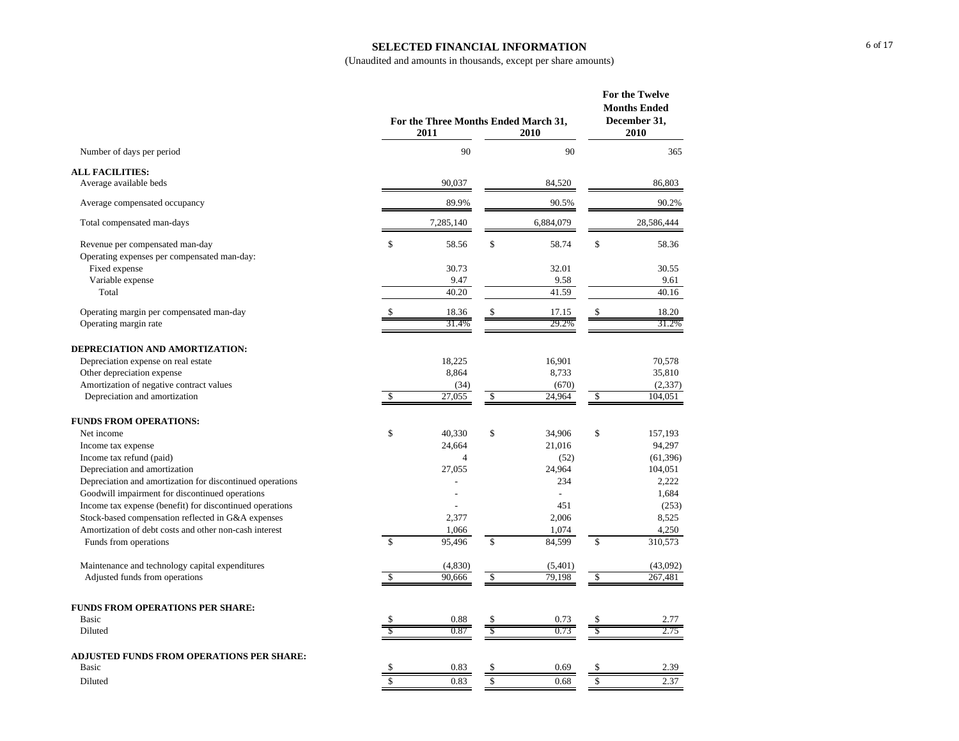## **SELECTED FINANCIAL INFORMATION**

|                                                           | 2011          | For the Three Months Ended March 31,<br>2010 | For the Twelve<br><b>Months Ended</b><br>December 31,<br>2010 |                |                         |            |
|-----------------------------------------------------------|---------------|----------------------------------------------|---------------------------------------------------------------|----------------|-------------------------|------------|
| Number of days per period                                 |               | 90                                           |                                                               | 90             |                         | 365        |
| <b>ALL FACILITIES:</b>                                    |               |                                              |                                                               |                |                         |            |
| Average available beds                                    |               | 90,037                                       |                                                               | 84,520         |                         | 86,803     |
| Average compensated occupancy                             |               | 89.9%                                        |                                                               | 90.5%          |                         | 90.2%      |
| Total compensated man-days                                |               | 7,285,140                                    |                                                               | 6,884,079      |                         | 28,586,444 |
| Revenue per compensated man-day                           | \$            | 58.56                                        | \$                                                            | 58.74          | \$                      | 58.36      |
| Operating expenses per compensated man-day:               |               |                                              |                                                               |                |                         |            |
| Fixed expense                                             |               | 30.73                                        |                                                               | 32.01          |                         | 30.55      |
| Variable expense                                          |               | 9.47                                         |                                                               | 9.58           |                         | 9.61       |
| Total                                                     |               | 40.20                                        |                                                               | 41.59          |                         | 40.16      |
| Operating margin per compensated man-day                  |               | 18.36                                        |                                                               | 17.15          |                         | 18.20      |
| Operating margin rate                                     |               | 31.4%                                        |                                                               | 29.2%          |                         | 31.2%      |
|                                                           |               |                                              |                                                               |                |                         |            |
| DEPRECIATION AND AMORTIZATION:                            |               |                                              |                                                               |                |                         |            |
| Depreciation expense on real estate                       |               | 18,225                                       |                                                               | 16,901         |                         | 70,578     |
| Other depreciation expense                                |               | 8,864                                        |                                                               | 8,733          |                         | 35,810     |
| Amortization of negative contract values                  |               | (34)                                         |                                                               | (670)          |                         | (2,337)    |
| Depreciation and amortization                             | \$            | 27,055                                       | $\sqrt{s}$                                                    | 24,964         | $\sqrt{\frac{2}{5}}$    | 104.051    |
| <b>FUNDS FROM OPERATIONS:</b>                             |               |                                              |                                                               |                |                         |            |
| Net income                                                | \$            | 40,330                                       | \$                                                            | 34,906         | \$                      | 157,193    |
| Income tax expense                                        |               | 24,664                                       |                                                               | 21,016         |                         | 94,297     |
| Income tax refund (paid)                                  |               | $\overline{4}$                               |                                                               | (52)           |                         | (61, 396)  |
| Depreciation and amortization                             |               | 27,055                                       |                                                               | 24,964         |                         | 104,051    |
| Depreciation and amortization for discontinued operations |               |                                              |                                                               | 234            |                         | 2,222      |
| Goodwill impairment for discontinued operations           |               | $\overline{a}$                               |                                                               | $\overline{a}$ |                         | 1,684      |
| Income tax expense (benefit) for discontinued operations  |               |                                              |                                                               | 451            |                         | (253)      |
| Stock-based compensation reflected in G&A expenses        |               | 2,377                                        |                                                               | 2,006          |                         | 8,525      |
| Amortization of debt costs and other non-cash interest    |               | 1,066                                        |                                                               | 1,074          |                         | 4,250      |
| Funds from operations                                     | $\mathcal{S}$ | 95.496                                       | $\mathcal{S}$                                                 | 84.599         | $\overline{\mathbb{S}}$ | 310,573    |
| Maintenance and technology capital expenditures           |               | (4,830)                                      |                                                               | (5,401)        |                         | (43,092)   |
| Adjusted funds from operations                            | \$            | 90,666                                       | $\sqrt{3}$                                                    | 79,198         | $\mathcal{L}$           | 267,481    |
|                                                           |               |                                              |                                                               |                |                         |            |
| <b>FUNDS FROM OPERATIONS PER SHARE:</b>                   |               |                                              |                                                               |                |                         |            |
| Basic                                                     | \$            | 0.88                                         | S                                                             | 0.73           | \$                      | 2.77       |
| Diluted                                                   | \$            | 0.87                                         | $\overline{s}$                                                | 0.73           | $\overline{\$}$         | 2.75       |
| ADJUSTED FUNDS FROM OPERATIONS PER SHARE:                 |               |                                              |                                                               |                |                         |            |
| Basic                                                     | \$            | 0.83                                         | \$                                                            | 0.69           | \$                      | 2.39       |
| Diluted                                                   | \$            | 0.83                                         | \$                                                            | 0.68           | \$                      | 2.37       |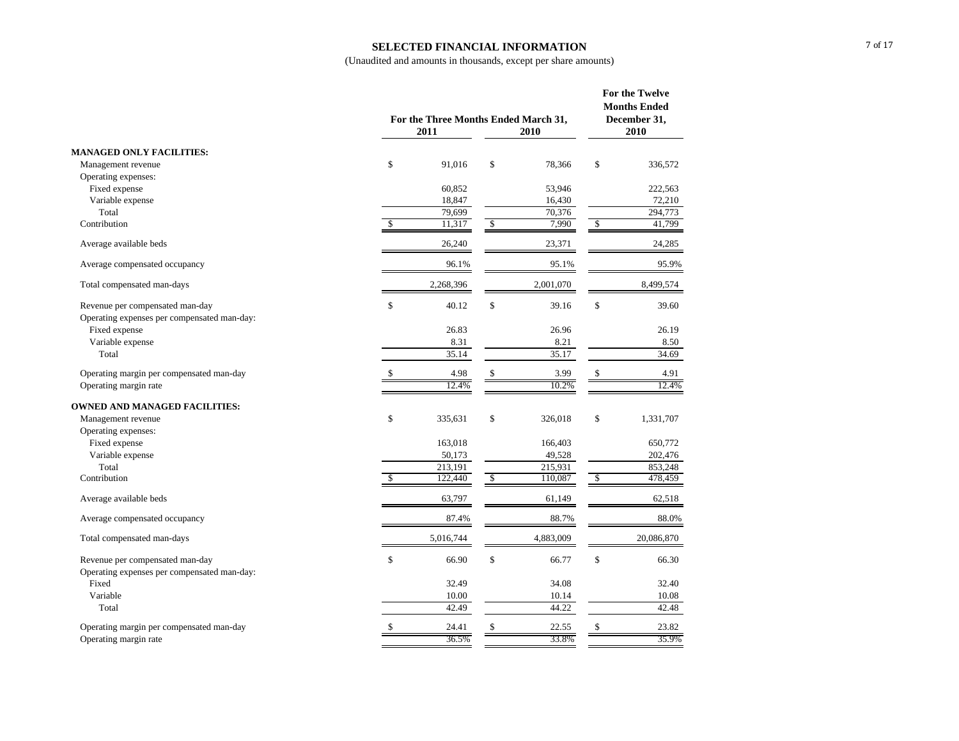### **SELECTED FINANCIAL INFORMATION**

|                                                                                |              | For the Three Months Ended March 31,<br>2011<br>2010 |            |           |               | For the Twelve<br><b>Months Ended</b><br>December 31,<br>2010 |
|--------------------------------------------------------------------------------|--------------|------------------------------------------------------|------------|-----------|---------------|---------------------------------------------------------------|
| <b>MANAGED ONLY FACILITIES:</b>                                                |              |                                                      |            |           |               |                                                               |
| Management revenue                                                             | $\mathbb{S}$ | 91.016                                               | \$         | 78,366    | \$            | 336,572                                                       |
| Operating expenses:                                                            |              |                                                      |            |           |               |                                                               |
| Fixed expense                                                                  |              | 60,852                                               |            | 53,946    |               | 222,563                                                       |
| Variable expense                                                               |              | 18,847                                               |            | 16,430    |               | 72,210                                                        |
| Total                                                                          |              | 79,699                                               |            | 70,376    |               | 294,773                                                       |
| Contribution                                                                   | \$           | 11,317                                               | $\sqrt{2}$ | 7,990     | $\mathcal{S}$ | 41,799                                                        |
| Average available beds                                                         |              | 26,240                                               |            | 23,371    |               | 24,285                                                        |
| Average compensated occupancy                                                  |              | 96.1%                                                |            | 95.1%     |               | 95.9%                                                         |
| Total compensated man-days                                                     |              | 2,268,396                                            |            | 2,001,070 |               | 8,499,574                                                     |
| Revenue per compensated man-day<br>Operating expenses per compensated man-day: | \$           | 40.12                                                | \$         | 39.16     | \$            | 39.60                                                         |
| Fixed expense                                                                  |              | 26.83                                                |            | 26.96     |               | 26.19                                                         |
| Variable expense                                                               |              | 8.31                                                 |            | 8.21      |               | 8.50                                                          |
| Total                                                                          |              | 35.14                                                |            | 35.17     |               | 34.69                                                         |
| Operating margin per compensated man-day                                       | \$           | 4.98                                                 | \$         | 3.99      | \$            | 4.91                                                          |
| Operating margin rate                                                          |              | 12.4%                                                |            | 10.2%     |               | 12.4%                                                         |
| <b>OWNED AND MANAGED FACILITIES:</b>                                           |              |                                                      |            |           |               |                                                               |
| Management revenue                                                             | \$           | 335,631                                              | \$         | 326,018   | \$            | 1,331,707                                                     |
| Operating expenses:                                                            |              |                                                      |            |           |               |                                                               |
| Fixed expense                                                                  |              | 163,018                                              |            | 166,403   |               | 650,772                                                       |
| Variable expense                                                               |              | 50,173                                               |            | 49,528    |               | 202,476                                                       |
| Total                                                                          |              | 213.191                                              |            | 215,931   |               | 853.248                                                       |
| Contribution                                                                   | \$           | 122,440                                              | \$         | 110,087   | \$            | 478,459                                                       |
| Average available beds                                                         |              | 63,797                                               |            | 61,149    |               | 62,518                                                        |
| Average compensated occupancy                                                  |              | 87.4%                                                |            | 88.7%     |               | 88.0%                                                         |
| Total compensated man-days                                                     |              | 5,016,744                                            |            | 4,883,009 |               | 20,086,870                                                    |
| Revenue per compensated man-day<br>Operating expenses per compensated man-day: | \$           | 66.90                                                | \$         | 66.77     | \$            | 66.30                                                         |
| Fixed                                                                          |              | 32.49                                                |            | 34.08     |               | 32.40                                                         |
| Variable                                                                       |              | 10.00                                                |            | 10.14     |               | 10.08                                                         |
| Total                                                                          |              | 42.49                                                |            | 44.22     |               | 42.48                                                         |
| Operating margin per compensated man-day                                       | \$           | 24.41                                                | \$         | 22.55     | \$            | 23.82                                                         |
| Operating margin rate                                                          |              | 36.5%                                                |            | 33.8%     |               | 35.9%                                                         |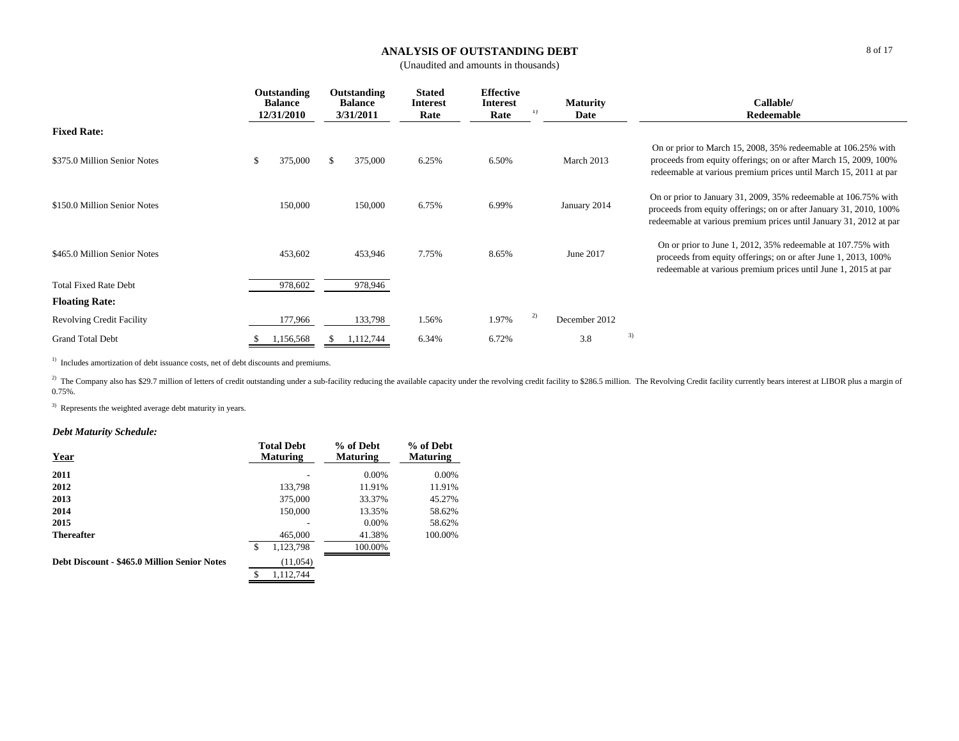### **ANALYSIS OF OUTSTANDING DEBT**

(Unaudited and amounts in thousands)

|                                  |    | Outstanding<br><b>Balance</b><br>12/31/2010 | Outstanding<br><b>Balance</b><br>3/31/2011 | <b>Stated</b><br><b>Interest</b><br>Rate | <b>Effective</b><br><b>Interest</b><br>Rate | $_{1}$ | <b>Maturity</b><br>Date | Callable/<br>Redeemable                                                                                                                                                                                     |
|----------------------------------|----|---------------------------------------------|--------------------------------------------|------------------------------------------|---------------------------------------------|--------|-------------------------|-------------------------------------------------------------------------------------------------------------------------------------------------------------------------------------------------------------|
| <b>Fixed Rate:</b>               |    |                                             |                                            |                                          |                                             |        |                         |                                                                                                                                                                                                             |
| \$375.0 Million Senior Notes     | S. | 375,000                                     | \$<br>375,000                              | 6.25%                                    | 6.50%                                       |        | March 2013              | On or prior to March 15, 2008, 35% redeemable at 106.25% with<br>proceeds from equity offerings; on or after March 15, 2009, 100%<br>redeemable at various premium prices until March 15, 2011 at par       |
| \$150.0 Million Senior Notes     |    | 150,000                                     | 150,000                                    | 6.75%                                    | 6.99%                                       |        | January 2014            | On or prior to January 31, 2009, 35% redeemable at 106.75% with<br>proceeds from equity offerings; on or after January 31, 2010, 100%<br>redeemable at various premium prices until January 31, 2012 at par |
| \$465.0 Million Senior Notes     |    | 453,602                                     | 453,946                                    | 7.75%                                    | 8.65%                                       |        | June 2017               | On or prior to June 1, 2012, 35% redeemable at 107.75% with<br>proceeds from equity offerings; on or after June 1, 2013, 100%<br>redeemable at various premium prices until June 1, 2015 at par             |
| <b>Total Fixed Rate Debt</b>     |    | 978,602                                     | 978,946                                    |                                          |                                             |        |                         |                                                                                                                                                                                                             |
| <b>Floating Rate:</b>            |    |                                             |                                            |                                          |                                             |        |                         |                                                                                                                                                                                                             |
| <b>Revolving Credit Facility</b> |    | 177,966                                     | 133,798                                    | 1.56%                                    | 1.97%                                       | 2)     | December 2012           |                                                                                                                                                                                                             |
| <b>Grand Total Debt</b>          |    | 1,156,568                                   | 1,112,744                                  | 6.34%                                    | 6.72%                                       |        | 3.8                     | 3)                                                                                                                                                                                                          |

<sup>1)</sup> Includes amortization of debt issuance costs, net of debt discounts and premiums.

<sup>2)</sup> The Company also has \$29.7 million of letters of credit outstanding under a sub-facility reducing the available capacity under the revolving credit facility to \$286.5 million. The Revolving Credit facility currently b 0.75%.

<sup>3)</sup> Represents the weighted average debt maturity in years.

## *Debt Maturity Schedule:*

| Year                                         | <b>Total Debt</b><br><b>Maturing</b> | % of Debt<br><b>Maturing</b> | % of Debt<br><b>Maturing</b> |
|----------------------------------------------|--------------------------------------|------------------------------|------------------------------|
| 2011                                         |                                      | 0.00%                        | 0.00%                        |
| 2012                                         | 133,798                              | 11.91%                       | 11.91%                       |
| 2013                                         | 375,000                              | 33.37%                       | 45.27%                       |
| 2014                                         | 150,000                              | 13.35%                       | 58.62%                       |
| 2015                                         |                                      | 0.00%                        | 58.62%                       |
| <b>Thereafter</b>                            | 465,000                              | 41.38%                       | 100.00%                      |
|                                              | \$<br>1,123,798                      | 100.00%                      |                              |
| Debt Discount - \$465.0 Million Senior Notes | (11,054)                             |                              |                              |
|                                              | 1.112.744<br>\$                      |                              |                              |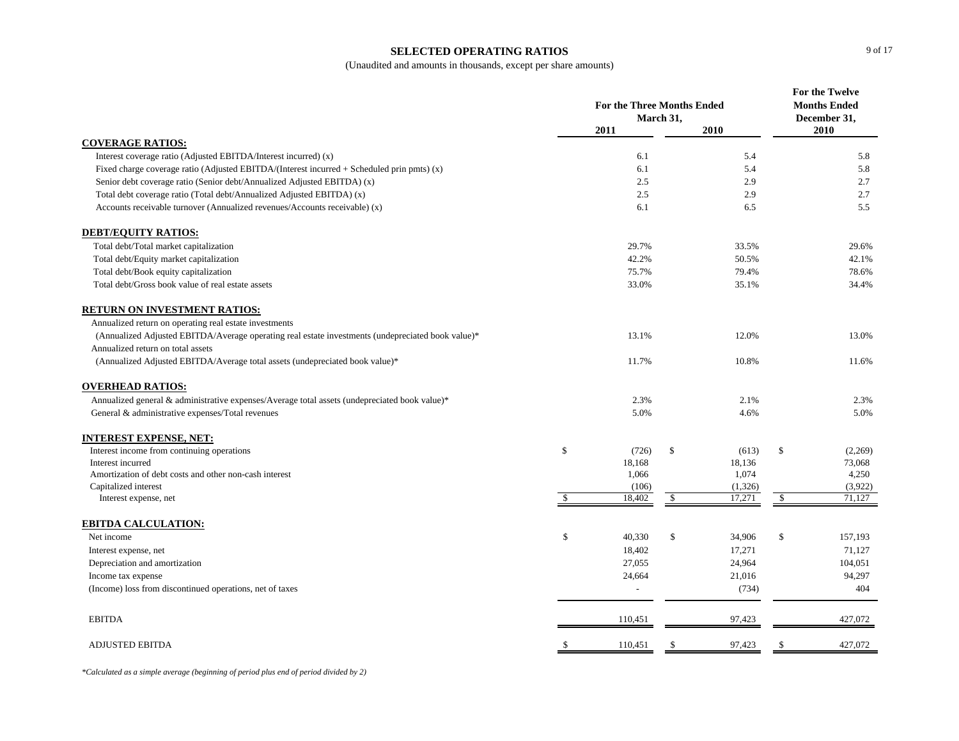#### **SELECTED OPERATING RATIOS**

(Unaudited and amounts in thousands, except per share amounts)

|                                                                                                   | <b>For the Three Months Ended</b><br>March 31, |                 |            |                    | <b>For the Twelve</b><br><b>Months Ended</b><br>December 31, |                   |  |
|---------------------------------------------------------------------------------------------------|------------------------------------------------|-----------------|------------|--------------------|--------------------------------------------------------------|-------------------|--|
|                                                                                                   |                                                | 2011            |            | 2010               |                                                              | 2010              |  |
| <b>COVERAGE RATIOS:</b>                                                                           |                                                |                 |            |                    |                                                              |                   |  |
| Interest coverage ratio (Adjusted EBITDA/Interest incurred) (x)                                   |                                                | 6.1             |            | 5.4                |                                                              | 5.8               |  |
| Fixed charge coverage ratio (Adjusted EBITDA/(Interest incurred $+$ Scheduled prin pmts) (x)      |                                                | 6.1             |            | 5.4                |                                                              | 5.8               |  |
| Senior debt coverage ratio (Senior debt/Annualized Adjusted EBITDA) (x)                           |                                                | 2.5             |            | 2.9                |                                                              | 2.7               |  |
| Total debt coverage ratio (Total debt/Annualized Adjusted EBITDA) (x)                             |                                                | 2.5             |            | 2.9                |                                                              | 2.7               |  |
| Accounts receivable turnover (Annualized revenues/Accounts receivable) (x)                        |                                                | 6.1             |            | 6.5                |                                                              | 5.5               |  |
| <b>DEBT/EQUITY RATIOS:</b>                                                                        |                                                |                 |            |                    |                                                              |                   |  |
| Total debt/Total market capitalization                                                            |                                                | 29.7%           |            | 33.5%              |                                                              | 29.6%             |  |
| Total debt/Equity market capitalization                                                           |                                                | 42.2%           |            | 50.5%              |                                                              | 42.1%             |  |
| Total debt/Book equity capitalization                                                             |                                                | 75.7%           |            | 79.4%              |                                                              | 78.6%             |  |
| Total debt/Gross book value of real estate assets                                                 |                                                | 33.0%           |            | 35.1%              |                                                              | 34.4%             |  |
| <b>RETURN ON INVESTMENT RATIOS:</b>                                                               |                                                |                 |            |                    |                                                              |                   |  |
| Annualized return on operating real estate investments                                            |                                                |                 |            |                    |                                                              |                   |  |
| (Annualized Adjusted EBITDA/Average operating real estate investments (undepreciated book value)* |                                                | 13.1%           |            | 12.0%              |                                                              | 13.0%             |  |
| Annualized return on total assets                                                                 |                                                |                 |            |                    |                                                              |                   |  |
| (Annualized Adjusted EBITDA/Average total assets (undepreciated book value)*                      |                                                | 11.7%           |            | 10.8%              |                                                              | 11.6%             |  |
| <b>OVERHEAD RATIOS:</b>                                                                           |                                                |                 |            |                    |                                                              |                   |  |
| Annualized general & administrative expenses/Average total assets (undepreciated book value)*     |                                                | 2.3%            |            | 2.1%               |                                                              | 2.3%              |  |
| General & administrative expenses/Total revenues                                                  |                                                | 5.0%            |            | 4.6%               |                                                              | 5.0%              |  |
| <b>INTEREST EXPENSE, NET:</b>                                                                     |                                                |                 |            |                    |                                                              |                   |  |
| Interest income from continuing operations                                                        | \$                                             | (726)           | \$         | (613)              | \$                                                           | (2,269)           |  |
| Interest incurred                                                                                 |                                                | 18,168          |            | 18,136             |                                                              | 73,068            |  |
| Amortization of debt costs and other non-cash interest                                            |                                                | 1,066           |            | 1,074              |                                                              | 4,250             |  |
| Capitalized interest<br>Interest expense, net                                                     | $\overline{\mathcal{S}}$                       | (106)<br>18,402 | $\sqrt{3}$ | (1, 326)<br>17,271 | $\mathcal{S}$                                                | (3,922)<br>71,127 |  |
|                                                                                                   |                                                |                 |            |                    |                                                              |                   |  |
| <b>EBITDA CALCULATION:</b>                                                                        |                                                |                 |            |                    |                                                              |                   |  |
| Net income                                                                                        | \$                                             | 40,330          | \$         | 34,906             | \$                                                           | 157,193           |  |
| Interest expense, net                                                                             |                                                | 18,402          |            | 17,271             |                                                              | 71,127            |  |
| Depreciation and amortization                                                                     |                                                | 27,055          |            | 24,964             |                                                              | 104,051           |  |
| Income tax expense                                                                                |                                                | 24,664          |            | 21,016             |                                                              | 94,297            |  |
| (Income) loss from discontinued operations, net of taxes                                          |                                                |                 |            | (734)              |                                                              | 404               |  |
| <b>EBITDA</b>                                                                                     |                                                | 110,451         |            | 97,423             |                                                              | 427,072           |  |
| <b>ADJUSTED EBITDA</b>                                                                            | -S                                             | 110,451         | \$         | 97,423             | <sup>\$</sup>                                                | 427,072           |  |

*\*Calculated as a simple average (beginning of period plus end of period divided by 2)*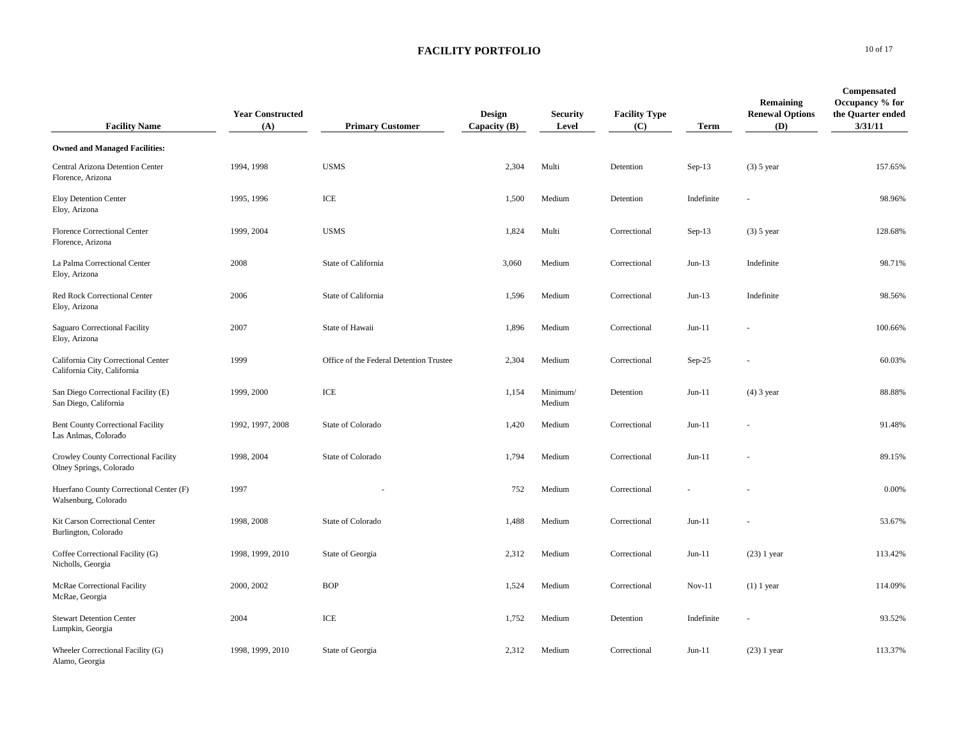| <b>Facility Name</b>                                               | <b>Year Constructed</b><br>(A) | <b>Primary Customer</b>                 | Design<br>Capacity $(B)$ | <b>Security</b><br>Level | <b>Facility Type</b><br>(C) | <b>Term</b> | Remaining<br><b>Renewal Options</b><br>(D) | Compensated<br>Occupancy % for<br>the Quarter ended<br>3/31/11 |
|--------------------------------------------------------------------|--------------------------------|-----------------------------------------|--------------------------|--------------------------|-----------------------------|-------------|--------------------------------------------|----------------------------------------------------------------|
| <b>Owned and Managed Facilities:</b>                               |                                |                                         |                          |                          |                             |             |                                            |                                                                |
| Central Arizona Detention Center<br>Florence, Arizona              | 1994, 1998                     | <b>USMS</b>                             | 2,304                    | Multi                    | Detention                   | $Sep-13$    | $(3)$ 5 year                               | 157.65%                                                        |
| <b>Eloy Detention Center</b><br>Eloy, Arizona                      | 1995, 1996                     | ICE                                     | 1,500                    | Medium                   | Detention                   | Indefinite  |                                            | 98.96%                                                         |
| <b>Florence Correctional Center</b><br>Florence, Arizona           | 1999, 2004                     | <b>USMS</b>                             | 1,824                    | Multi                    | Correctional                | $Sep-13$    | $(3)$ 5 year                               | 128.68%                                                        |
| La Palma Correctional Center<br>Eloy, Arizona                      | 2008                           | State of California                     | 3,060                    | Medium                   | Correctional                | $Jun-13$    | Indefinite                                 | 98.71%                                                         |
| Red Rock Correctional Center<br>Eloy, Arizona                      | 2006                           | State of California                     | 1,596                    | Medium                   | Correctional                | $Jun-13$    | Indefinite                                 | 98.56%                                                         |
| Saguaro Correctional Facility<br>Eloy, Arizona                     | 2007                           | State of Hawaii                         | 1,896                    | Medium                   | Correctional                | $Jun-11$    |                                            | 100.66%                                                        |
| California City Correctional Center<br>California City, California | 1999                           | Office of the Federal Detention Trustee | 2,304                    | Medium                   | Correctional                | $Sep-25$    |                                            | 60.03%                                                         |
| San Diego Correctional Facility (E)<br>San Diego, California       | 1999, 2000                     | ICE                                     | 1,154                    | Minimum/<br>Medium       | Detention                   | $Jun-11$    | $(4)$ 3 year                               | 88.88%                                                         |
| <b>Bent County Correctional Facility</b><br>Las Animas, Colorado   | 1992, 1997, 2008               | State of Colorado                       | 1,420                    | Medium                   | Correctional                | $Jun-11$    |                                            | 91.48%                                                         |
| Crowley County Correctional Facility<br>Olney Springs, Colorado    | 1998, 2004                     | State of Colorado                       | 1,794                    | Medium                   | Correctional                | $Jun-11$    |                                            | 89.15%                                                         |
| Huerfano County Correctional Center (F)<br>Walsenburg, Colorado    | 1997                           |                                         | 752                      | Medium                   | Correctional                |             |                                            | 0.00%                                                          |
| Kit Carson Correctional Center<br>Burlington, Colorado             | 1998, 2008                     | State of Colorado                       | 1,488                    | Medium                   | Correctional                | $Jun-11$    |                                            | 53.67%                                                         |
| Coffee Correctional Facility (G)<br>Nicholls, Georgia              | 1998, 1999, 2010               | State of Georgia                        | 2,312                    | Medium                   | Correctional                | $Jun-11$    | $(23)$ 1 year                              | 113.42%                                                        |
| <b>McRae Correctional Facility</b><br>McRae, Georgia               | 2000, 2002                     | <b>BOP</b>                              | 1,524                    | Medium                   | Correctional                | $Nov-11$    | $(1)$ 1 year                               | 114.09%                                                        |
| <b>Stewart Detention Center</b><br>Lumpkin, Georgia                | 2004                           | ICE                                     | 1,752                    | Medium                   | Detention                   | Indefinite  |                                            | 93.52%                                                         |
| Wheeler Correctional Facility (G)<br>Alamo, Georgia                | 1998, 1999, 2010               | State of Georgia                        | 2,312                    | Medium                   | Correctional                | $Jun-11$    | $(23)$ 1 year                              | 113.37%                                                        |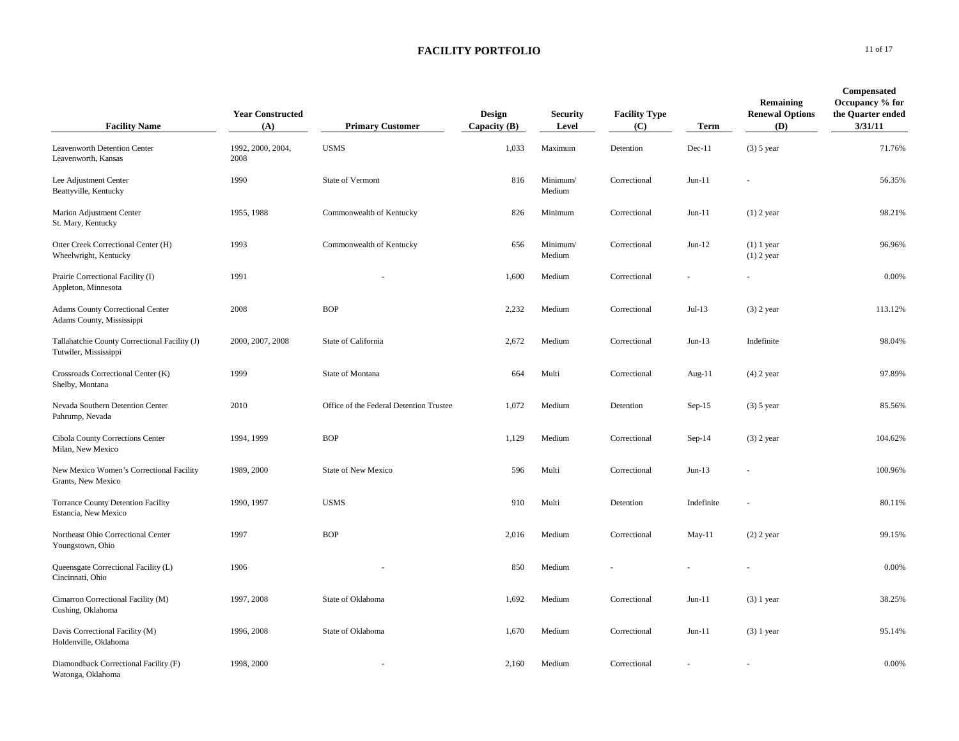| <b>Facility Name</b>                                                   | <b>Year Constructed</b><br>(A) | <b>Primary Customer</b>                 | Design<br>Capacity $(B)$ | <b>Security</b><br>Level | <b>Facility Type</b><br>(C) | Term       | Remaining<br><b>Renewal Options</b><br>(D) | <b>Compensated</b><br>Occupancy % for<br>the Quarter ended<br>3/31/11 |
|------------------------------------------------------------------------|--------------------------------|-----------------------------------------|--------------------------|--------------------------|-----------------------------|------------|--------------------------------------------|-----------------------------------------------------------------------|
| Leavenworth Detention Center<br>Leavenworth, Kansas                    | 1992, 2000, 2004,<br>2008      | <b>USMS</b>                             | 1,033                    | Maximum                  | Detention                   | $Dec-11$   | $(3)$ 5 year                               | 71.76%                                                                |
| Lee Adjustment Center<br>Beattyville, Kentucky                         | 1990                           | State of Vermont                        | 816                      | Minimum/<br>Medium       | Correctional                | $Jun-11$   |                                            | 56.35%                                                                |
| Marion Adjustment Center<br>St. Mary, Kentucky                         | 1955, 1988                     | Commonwealth of Kentucky                | 826                      | Minimum                  | Correctional                | $Jun-11$   | $(1)$ 2 year                               | 98.21%                                                                |
| Otter Creek Correctional Center (H)<br>Wheelwright, Kentucky           | 1993                           | Commonwealth of Kentucky                | 656                      | Minimum/<br>Medium       | Correctional                | $Jun-12$   | $(1)$ 1 year<br>$(1)$ 2 year               | 96.96%                                                                |
| Prairie Correctional Facility (I)<br>Appleton, Minnesota               | 1991                           |                                         | 1,600                    | Medium                   | Correctional                |            |                                            | 0.00%                                                                 |
| <b>Adams County Correctional Center</b><br>Adams County, Mississippi   | 2008                           | <b>BOP</b>                              | 2,232                    | Medium                   | Correctional                | $Jul-13$   | $(3)$ 2 year                               | 113.12%                                                               |
| Tallahatchie County Correctional Facility (J)<br>Tutwiler, Mississippi | 2000, 2007, 2008               | State of California                     | 2,672                    | Medium                   | Correctional                | $Jun-13$   | Indefinite                                 | 98.04%                                                                |
| Crossroads Correctional Center (K)<br>Shelby, Montana                  | 1999                           | State of Montana                        | 664                      | Multi                    | Correctional                | Aug-11     | $(4)$ 2 year                               | 97.89%                                                                |
| Nevada Southern Detention Center<br>Pahrump, Nevada                    | 2010                           | Office of the Federal Detention Trustee | 1,072                    | Medium                   | Detention                   | $Sep-15$   | $(3)$ 5 year                               | 85.56%                                                                |
| Cibola County Corrections Center<br>Milan, New Mexico                  | 1994, 1999                     | <b>BOP</b>                              | 1,129                    | Medium                   | Correctional                | $Sep-14$   | $(3)$ 2 year                               | 104.62%                                                               |
| New Mexico Women's Correctional Facility<br>Grants, New Mexico         | 1989, 2000                     | <b>State of New Mexico</b>              | 596                      | Multi                    | Correctional                | $Jun-13$   |                                            | 100.96%                                                               |
| <b>Torrance County Detention Facility</b><br>Estancia, New Mexico      | 1990, 1997                     | <b>USMS</b>                             | 910                      | Multi                    | Detention                   | Indefinite |                                            | 80.11%                                                                |
| Northeast Ohio Correctional Center<br>Youngstown, Ohio                 | 1997                           | <b>BOP</b>                              | 2,016                    | Medium                   | Correctional                | $May-11$   | $(2)$ 2 year                               | 99.15%                                                                |
| Queensgate Correctional Facility (L)<br>Cincinnati, Ohio               | 1906                           |                                         | 850                      | Medium                   |                             |            |                                            | 0.00%                                                                 |
| Cimarron Correctional Facility (M)<br>Cushing, Oklahoma                | 1997, 2008                     | State of Oklahoma                       | 1,692                    | Medium                   | Correctional                | $Jun-11$   | $(3)$ 1 year                               | 38.25%                                                                |
| Davis Correctional Facility (M)<br>Holdenville, Oklahoma               | 1996, 2008                     | State of Oklahoma                       | 1,670                    | Medium                   | Correctional                | $Jun-11$   | $(3)$ 1 year                               | 95.14%                                                                |
| Diamondback Correctional Facility (F)<br>Watonga, Oklahoma             | 1998, 2000                     |                                         | 2,160                    | Medium                   | Correctional                |            |                                            | 0.00%                                                                 |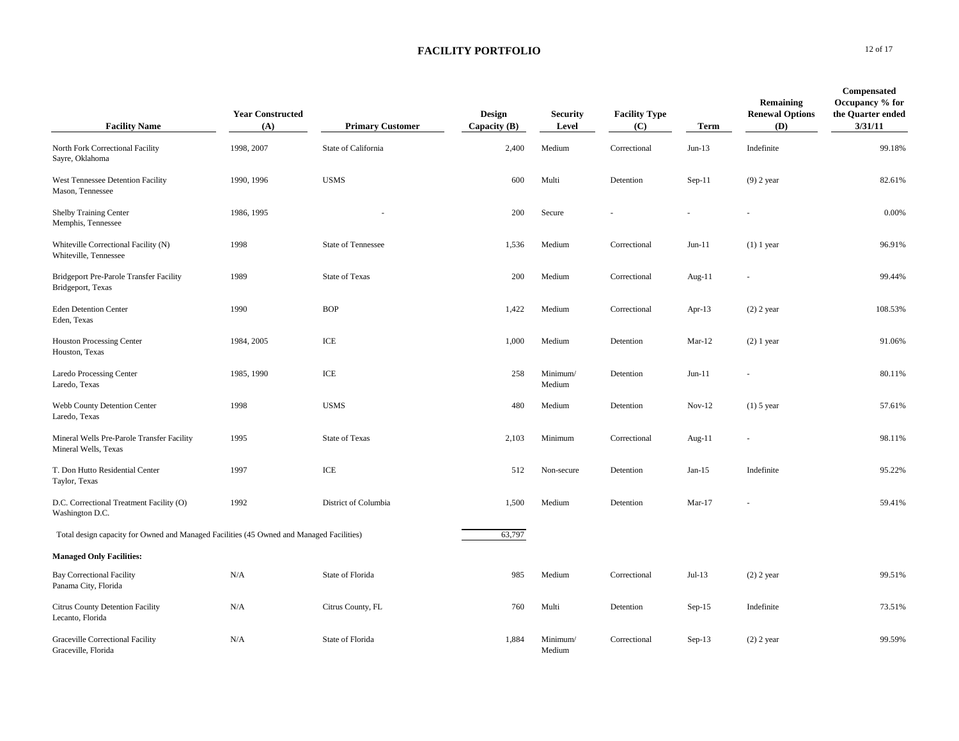| <b>Facility Name</b>                                                                     | <b>Year Constructed</b><br>(A) | <b>Primary Customer</b>   | Design<br>Capacity $(B)$ | <b>Security</b><br>Level | <b>Facility Type</b><br>(C) | <b>Term</b> | Remaining<br><b>Renewal Options</b><br>(D) | <b>Compensated</b><br>Occupancy % for<br>the Quarter ended<br>3/31/11 |
|------------------------------------------------------------------------------------------|--------------------------------|---------------------------|--------------------------|--------------------------|-----------------------------|-------------|--------------------------------------------|-----------------------------------------------------------------------|
| North Fork Correctional Facility<br>Sayre, Oklahoma                                      | 1998, 2007                     | State of California       | 2,400                    | Medium                   | Correctional                | $Jun-13$    | Indefinite                                 | 99.18%                                                                |
| West Tennessee Detention Facility<br>Mason, Tennessee                                    | 1990, 1996                     | <b>USMS</b>               | 600                      | Multi                    | Detention                   | $Sep-11$    | $(9)$ 2 year                               | 82.61%                                                                |
| <b>Shelby Training Center</b><br>Memphis, Tennessee                                      | 1986, 1995                     |                           | 200                      | Secure                   |                             |             |                                            | 0.00%                                                                 |
| Whiteville Correctional Facility (N)<br>Whiteville, Tennessee                            | 1998                           | <b>State of Tennessee</b> | 1,536                    | Medium                   | Correctional                | $Jun-11$    | $(1)$ 1 year                               | 96.91%                                                                |
| Bridgeport Pre-Parole Transfer Facility<br>Bridgeport, Texas                             | 1989                           | <b>State of Texas</b>     | 200                      | Medium                   | Correctional                | Aug-11      |                                            | 99.44%                                                                |
| <b>Eden Detention Center</b><br>Eden, Texas                                              | 1990                           | <b>BOP</b>                | 1,422                    | Medium                   | Correctional                | Apr- $13$   | $(2)$ 2 year                               | 108.53%                                                               |
| <b>Houston Processing Center</b><br>Houston, Texas                                       | 1984, 2005                     | ICE                       | 1,000                    | Medium                   | Detention                   | $Mar-12$    | $(2)$ 1 year                               | 91.06%                                                                |
| Laredo Processing Center<br>Laredo, Texas                                                | 1985, 1990                     | ICE                       | 258                      | Minimum/<br>Medium       | Detention                   | $Jun-11$    |                                            | 80.11%                                                                |
| Webb County Detention Center<br>Laredo, Texas                                            | 1998                           | <b>USMS</b>               | 480                      | Medium                   | Detention                   | $Nov-12$    | $(1)$ 5 year                               | 57.61%                                                                |
| Mineral Wells Pre-Parole Transfer Facility<br>Mineral Wells, Texas                       | 1995                           | <b>State of Texas</b>     | 2,103                    | Minimum                  | Correctional                | Aug-11      |                                            | 98.11%                                                                |
| T. Don Hutto Residential Center<br>Taylor, Texas                                         | 1997                           | $\ensuremath{\text{ICE}}$ | 512                      | Non-secure               | Detention                   | Jan-15      | Indefinite                                 | 95.22%                                                                |
| D.C. Correctional Treatment Facility (O)<br>Washington D.C.                              | 1992                           | District of Columbia      | 1,500                    | Medium                   | Detention                   | $Mar-17$    |                                            | 59.41%                                                                |
| Total design capacity for Owned and Managed Facilities (45 Owned and Managed Facilities) |                                |                           | 63,797                   |                          |                             |             |                                            |                                                                       |
| <b>Managed Only Facilities:</b>                                                          |                                |                           |                          |                          |                             |             |                                            |                                                                       |
| <b>Bay Correctional Facility</b><br>Panama City, Florida                                 | N/A                            | State of Florida          | 985                      | Medium                   | Correctional                | $Jul-13$    | $(2)$ 2 year                               | 99.51%                                                                |
| Citrus County Detention Facility<br>Lecanto, Florida                                     | N/A                            | Citrus County, FL         | 760                      | Multi                    | Detention                   | $Sep-15$    | Indefinite                                 | 73.51%                                                                |
| <b>Graceville Correctional Facility</b><br>Graceville, Florida                           | N/A                            | State of Florida          | 1,884                    | Minimum/<br>Medium       | Correctional                | $Sep-13$    | $(2)$ 2 year                               | 99.59%                                                                |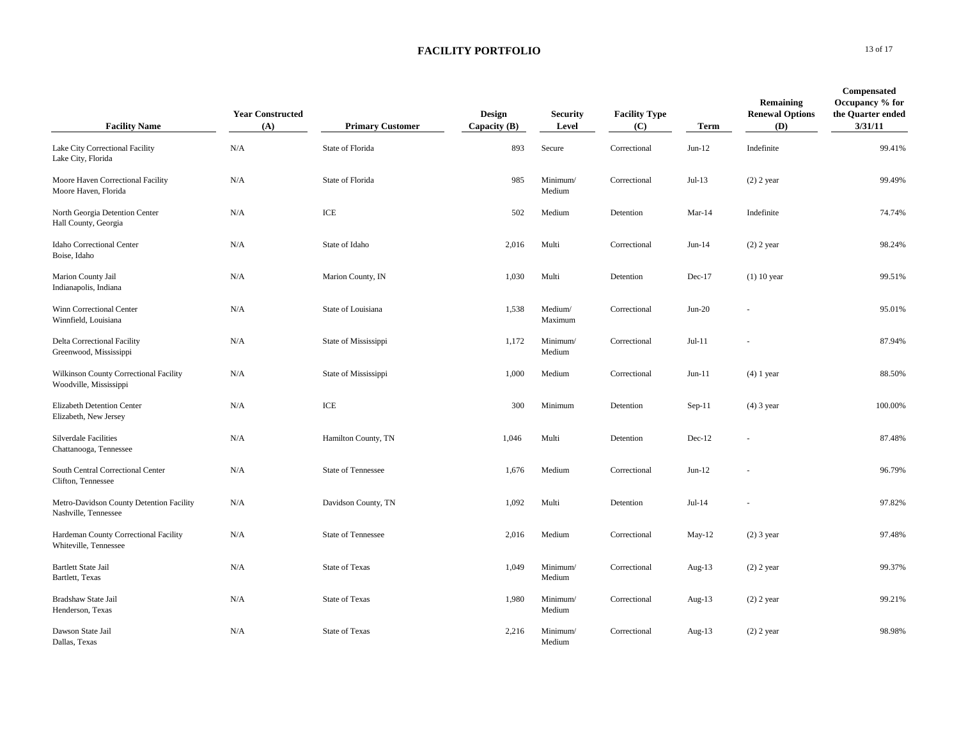| <b>Facility Name</b>                                             | <b>Year Constructed</b><br>(A) | <b>Primary Customer</b>   | Design<br>Capacity $(B)$ | <b>Security</b><br>Level | <b>Facility Type</b><br>(C) | Term      | Remaining<br><b>Renewal Options</b><br>(D) | Compensated<br>Occupancy % for<br>the Quarter ended<br>3/31/11 |
|------------------------------------------------------------------|--------------------------------|---------------------------|--------------------------|--------------------------|-----------------------------|-----------|--------------------------------------------|----------------------------------------------------------------|
| Lake City Correctional Facility<br>Lake City, Florida            | N/A                            | State of Florida          | 893                      | Secure                   | Correctional                | $Jun-12$  | Indefinite                                 | 99.41%                                                         |
| Moore Haven Correctional Facility<br>Moore Haven, Florida        | N/A                            | State of Florida          | 985                      | Minimum/<br>Medium       | Correctional                | $Jul-13$  | $(2)$ 2 year                               | 99.49%                                                         |
| North Georgia Detention Center<br>Hall County, Georgia           | N/A                            | ICE                       | 502                      | Medium                   | Detention                   | $Mar-14$  | Indefinite                                 | 74.74%                                                         |
| Idaho Correctional Center<br>Boise, Idaho                        | N/A                            | State of Idaho            | 2,016                    | Multi                    | Correctional                | $Jun-14$  | $(2)$ 2 year                               | 98.24%                                                         |
| Marion County Jail<br>Indianapolis, Indiana                      | N/A                            | Marion County, IN         | 1,030                    | Multi                    | Detention                   | Dec-17    | $(1)$ 10 year                              | 99.51%                                                         |
| Winn Correctional Center<br>Winnfield, Louisiana                 | N/A                            | State of Louisiana        | 1,538                    | Medium/<br>Maximum       | Correctional                | $Jun-20$  |                                            | 95.01%                                                         |
| Delta Correctional Facility<br>Greenwood, Mississippi            | N/A                            | State of Mississippi      | 1,172                    | Minimum/<br>Medium       | Correctional                | $Jul-11$  |                                            | 87.94%                                                         |
| Wilkinson County Correctional Facility<br>Woodville, Mississippi | N/A                            | State of Mississippi      | 1,000                    | Medium                   | Correctional                | $Jun-11$  | $(4)$ 1 year                               | 88.50%                                                         |
| Elizabeth Detention Center<br>Elizabeth, New Jersey              | N/A                            | ICE                       | 300                      | Minimum                  | Detention                   | $Sep-11$  | $(4)$ 3 year                               | 100.00%                                                        |
| <b>Silverdale Facilities</b><br>Chattanooga, Tennessee           | N/A                            | Hamilton County, TN       | 1,046                    | Multi                    | Detention                   | $Dec-12$  |                                            | 87.48%                                                         |
| South Central Correctional Center<br>Clifton, Tennessee          | N/A                            | <b>State of Tennessee</b> | 1,676                    | Medium                   | Correctional                | $Jun-12$  |                                            | 96.79%                                                         |
| Metro-Davidson County Detention Facility<br>Nashville, Tennessee | N/A                            | Davidson County, TN       | 1,092                    | Multi                    | Detention                   | $Jul-14$  |                                            | 97.82%                                                         |
| Hardeman County Correctional Facility<br>Whiteville, Tennessee   | N/A                            | <b>State of Tennessee</b> | 2,016                    | Medium                   | Correctional                | May-12    | $(2)$ 3 year                               | 97.48%                                                         |
| <b>Bartlett State Jail</b><br>Bartlett, Texas                    | N/A                            | <b>State of Texas</b>     | 1,049                    | Minimum/<br>Medium       | Correctional                | Aug- $13$ | $(2)$ 2 year                               | 99.37%                                                         |
| Bradshaw State Jail<br>Henderson, Texas                          | N/A                            | <b>State of Texas</b>     | 1,980                    | Minimum/<br>Medium       | Correctional                | Aug- $13$ | $(2)$ 2 year                               | 99.21%                                                         |
| Dawson State Jail<br>Dallas, Texas                               | N/A                            | <b>State of Texas</b>     | 2,216                    | Minimum/<br>Medium       | Correctional                | Aug- $13$ | $(2)$ 2 year                               | 98.98%                                                         |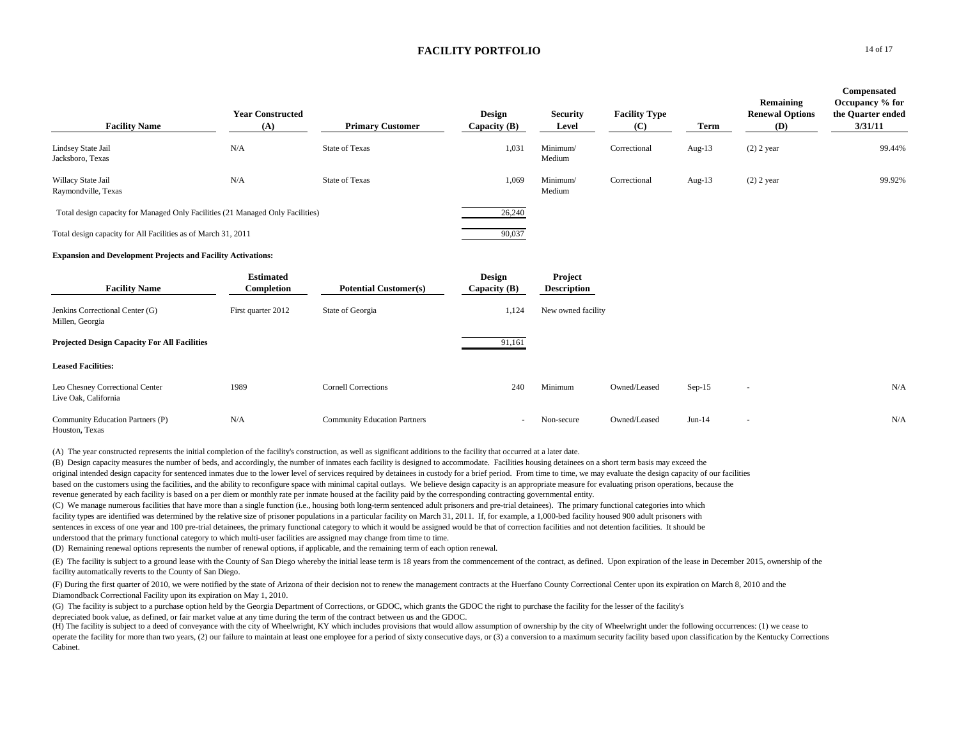| <b>Facility Name</b>                                                           | <b>Year Constructed</b><br>(A) | <b>Primary Customer</b>             | Design<br>Capacity $(B)$        | <b>Security</b><br>Level      | <b>Facility Type</b><br>(C) | Term      | Remaining<br><b>Renewal Options</b><br>(D) | Compensated<br>Occupancy % for<br>the Quarter ended<br>3/31/11 |
|--------------------------------------------------------------------------------|--------------------------------|-------------------------------------|---------------------------------|-------------------------------|-----------------------------|-----------|--------------------------------------------|----------------------------------------------------------------|
| Lindsey State Jail<br>Jacksboro, Texas                                         | N/A                            | <b>State of Texas</b>               | 1,031                           | Minimum/<br>Medium            | Correctional                | Aug- $13$ | $(2)$ 2 year                               | 99.44%                                                         |
| Willacy State Jail<br>Raymondville, Texas                                      | N/A                            | <b>State of Texas</b>               | 1,069                           | Minimum/<br>Medium            | Correctional                | Aug-13    | $(2)$ 2 year                               | 99.92%                                                         |
| Total design capacity for Managed Only Facilities (21 Managed Only Facilities) |                                |                                     | 26,240                          |                               |                             |           |                                            |                                                                |
| Total design capacity for All Facilities as of March 31, 2011                  |                                |                                     | 90,037                          |                               |                             |           |                                            |                                                                |
| <b>Expansion and Development Projects and Facility Activations:</b>            |                                |                                     |                                 |                               |                             |           |                                            |                                                                |
| <b>Facility Name</b>                                                           | <b>Estimated</b><br>Completion | <b>Potential Customer(s)</b>        | <b>Design</b><br>Capacity $(B)$ | Project<br><b>Description</b> |                             |           |                                            |                                                                |
| Jenkins Correctional Center (G)<br>Millen, Georgia                             | First quarter 2012             | State of Georgia                    | 1,124                           | New owned facility            |                             |           |                                            |                                                                |
| <b>Projected Design Capacity For All Facilities</b>                            |                                |                                     | 91,161                          |                               |                             |           |                                            |                                                                |
| <b>Leased Facilities:</b>                                                      |                                |                                     |                                 |                               |                             |           |                                            |                                                                |
| Leo Chesney Correctional Center<br>Live Oak, California                        | 1989                           | <b>Cornell Corrections</b>          | 240                             | Minimum                       | Owned/Leased                | $Sep-15$  | $\sim$                                     | N/A                                                            |
| Community Education Partners (P)<br>Houston, Texas                             | N/A                            | <b>Community Education Partners</b> | ٠                               | Non-secure                    | Owned/Leased                | $Jun-14$  | $\overline{\phantom{a}}$                   | N/A                                                            |

(A) The year constructed represents the initial completion of the facility's construction, as well as significant additions to the facility that occurred at a later date.

(B) Design capacity measures the number of beds, and accordingly, the number of inmates each facility is designed to accommodate. Facilities housing detainees on a short term basis may exceed the original intended design capacity for sentenced inmates due to the lower level of services required by detainees in custody for a brief period. From time to time, we may evaluate the design capacity of our facilities based on the customers using the facilities, and the ability to reconfigure space with minimal capital outlays. We believe design capacity is an appropriate measure for evaluating prison operations, because the revenue generated by each facility is based on a per diem or monthly rate per inmate housed at the facility paid by the corresponding contracting governmental entity.

(C) We manage numerous facilities that have more than a single function (i.e., housing both long-term sentenced adult prisoners and pre-trial detainees). The primary functional categories into which facility types are identified was determined by the relative size of prisoner populations in a particular facility on March 31, 2011. If, for example, a 1,000-bed facility housed 900 adult prisoners with sentences in excess of one year and 100 pre-trial detainees, the primary functional category to which it would be assigned would be that of correction facilities and not detention facilities. It should be understood that the primary functional category to which multi-user facilities are assigned may change from time to time.

(D) Remaining renewal options represents the number of renewal options, if applicable, and the remaining term of each option renewal.

(E) The facility is subject to a ground lease with the County of San Diego whereby the initial lease term is 18 years from the commencement of the contract, as defined. Upon expiration of the lease in December 2015, owners facility automatically reverts to the County of San Diego.

(F) During the first quarter of 2010, we were notified by the state of Arizona of their decision not to renew the management contracts at the Huerfano County Correctional Center upon its expiration on March 8, 2010 and the Diamondback Correctional Facility upon its expiration on May 1, 2010.

(G) The facility is subject to a purchase option held by the Georgia Department of Corrections, or GDOC, which grants the GDOC the right to purchase the facility for the lesser of the facility's depreciated book value, as defined, or fair market value at any time during the term of the contract between us and the GDOC.

(H) The facility is subject to a deed of conveyance with the city of Wheelwright, KY which includes provisions that would allow assumption of ownership by the city of Wheelwright under the following occurrences: (1) we cea operate the facility for more than two years, (2) our failure to maintain at least one employee for a period of sixty consecutive days, or (3) a conversion to a maximum security facility based upon classification by the Ke Cabinet.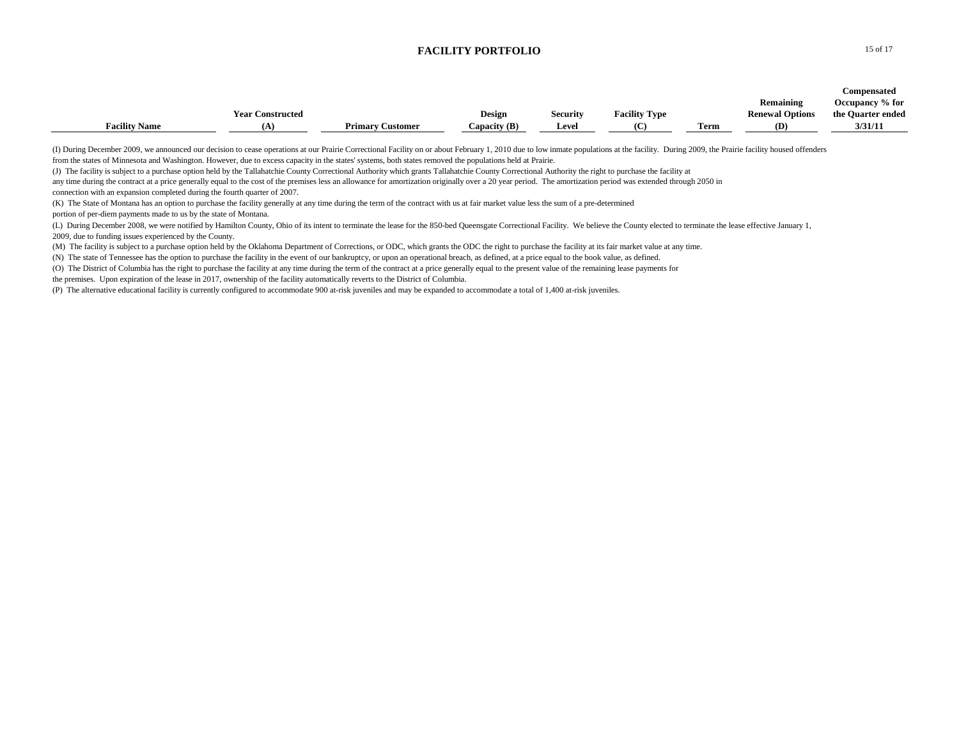|                      |                         |                         |                |                 |                      |      |                        | Compensated       |
|----------------------|-------------------------|-------------------------|----------------|-----------------|----------------------|------|------------------------|-------------------|
|                      |                         |                         |                |                 |                      |      | Remaining              | Occupancy % for   |
|                      | <b>Year Constructed</b> |                         | Design         | <b>Security</b> | <b>Facility Type</b> |      | <b>Renewal Options</b> | the Quarter ended |
| <b>Facility Name</b> | 'А.                     | <b>Primary Customer</b> | Capacity $(B)$ | <b>Level</b>    |                      | Term | (D)                    | 3/31/11           |

(I) During December 2009, we announced our decision to cease operations at our Prairie Correctional Facility on or about February 1, 2010 due to low inmate populations at the facility. During 2009, the Prairie facility hou from the states of Minnesota and Washington. However, due to excess capacity in the states' systems, both states removed the populations held at Prairie.

(J) The facility is subject to a purchase option held by the Tallahatchie County Correctional Authority which grants Tallahatchie County Correctional Authority the right to purchase the facility at

any time during the contract at a price generally equal to the cost of the premises less an allowance for amortization originally over a 20 year period. The amortization period was extended through 2050 in connection with an expansion completed during the fourth quarter of 2007.

(K) The State of Montana has an option to purchase the facility generally at any time during the term of the contract with us at fair market value less the sum of a pre-determined

portion of per-diem payments made to us by the state of Montana.

(L) During December 2008, we were notified by Hamilton County, Ohio of its intent to terminate the lease for the 850-bed Queensgate Correctional Facility. We believe the County elected to terminate the lease effective Janu 2009, due to funding issues experienced by the County.

(M) The facility is subject to a purchase option held by the Oklahoma Department of Corrections, or ODC, which grants the ODC the right to purchase the facility at its fair market value at any time.

(N) The state of Tennessee has the option to purchase the facility in the event of our bankruptcy, or upon an operational breach, as defined, at a price equal to the book value, as defined.

(O) The District of Columbia has the right to purchase the facility at any time during the term of the contract at a price generally equal to the present value of the remaining lease payments for

the premises. Upon expiration of the lease in 2017, ownership of the facility automatically reverts to the District of Columbia.

(P) The alternative educational facility is currently configured to accommodate 900 at-risk juveniles and may be expanded to accommodate a total of 1,400 at-risk juveniles.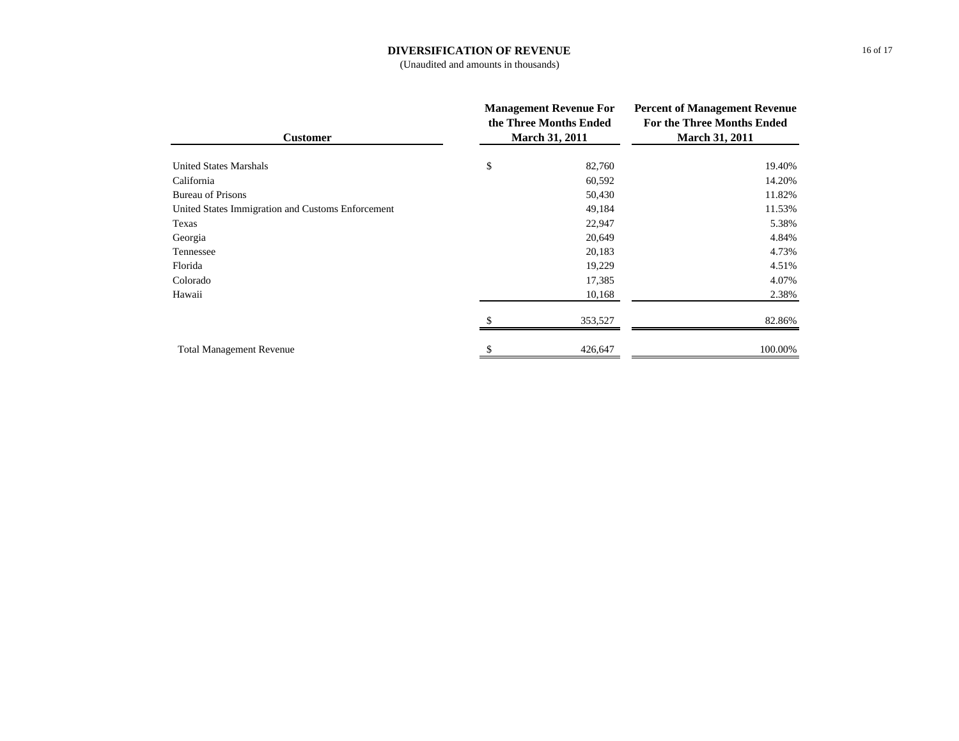## **DIVERSIFICATION OF REVENUE**

(Unaudited and amounts in thousands)

| <b>Customer</b>                                   | <b>Management Revenue For</b><br>the Three Months Ended<br><b>March 31, 2011</b> |         | <b>Percent of Management Revenue</b><br><b>For the Three Months Ended</b><br><b>March 31, 2011</b> |  |
|---------------------------------------------------|----------------------------------------------------------------------------------|---------|----------------------------------------------------------------------------------------------------|--|
| <b>United States Marshals</b>                     | \$                                                                               | 82,760  | 19.40%                                                                                             |  |
| California                                        |                                                                                  | 60,592  | 14.20%                                                                                             |  |
| <b>Bureau of Prisons</b>                          |                                                                                  | 50,430  | 11.82%                                                                                             |  |
| United States Immigration and Customs Enforcement |                                                                                  | 49,184  | 11.53%                                                                                             |  |
| Texas                                             |                                                                                  | 22,947  | 5.38%                                                                                              |  |
| Georgia                                           |                                                                                  | 20,649  | 4.84%                                                                                              |  |
| Tennessee                                         |                                                                                  | 20,183  | 4.73%                                                                                              |  |
| Florida                                           |                                                                                  | 19,229  | 4.51%                                                                                              |  |
| Colorado                                          |                                                                                  | 17,385  | 4.07%                                                                                              |  |
| Hawaii                                            |                                                                                  | 10,168  | 2.38%                                                                                              |  |
|                                                   |                                                                                  | 353,527 | 82.86%                                                                                             |  |
| <b>Total Management Revenue</b>                   |                                                                                  | 426,647 | 100.00%                                                                                            |  |